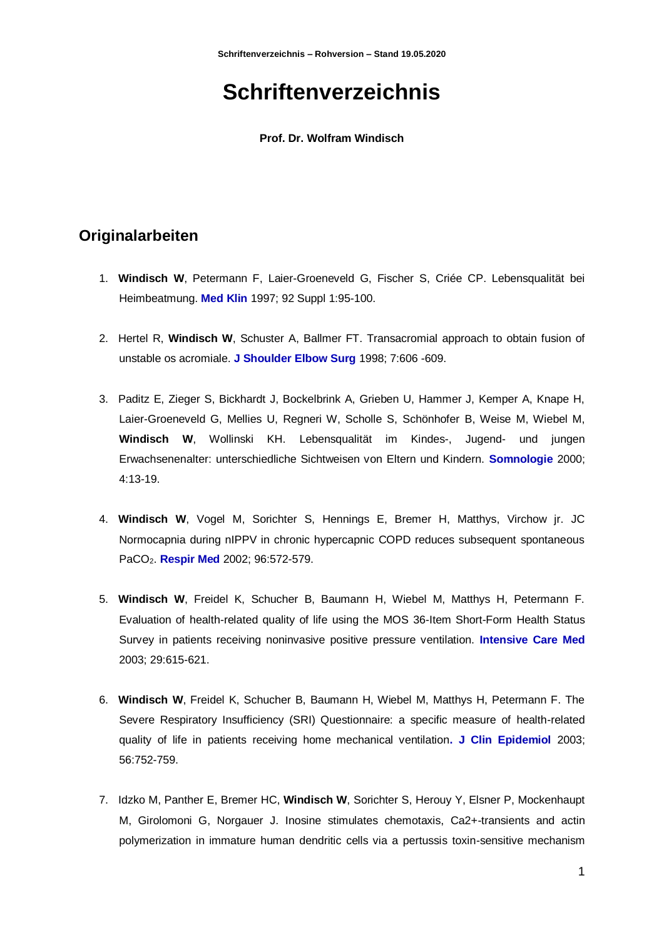# **Schriftenverzeichnis**

**Prof. Dr. Wolfram Windisch**

## **Originalarbeiten**

- 1. **Windisch W**, Petermann F, Laier-Groeneveld G, Fischer S, Criée CP. Lebensqualität bei Heimbeatmung. **Med Klin** 1997; 92 Suppl 1:95-100.
- 2. Hertel R, **Windisch W**, Schuster A, Ballmer FT. Transacromial approach to obtain fusion of unstable os acromiale. **J Shoulder Elbow Surg** 1998; 7:606 -609.
- 3. Paditz E, Zieger S, Bickhardt J, Bockelbrink A, Grieben U, Hammer J, Kemper A, Knape H, Laier-Groeneveld G, Mellies U, Regneri W, Scholle S, Schönhofer B, Weise M, Wiebel M, **Windisch W**, Wollinski KH. Lebensqualität im Kindes-, Jugend- und jungen Erwachsenenalter: unterschiedliche Sichtweisen von Eltern und Kindern. **Somnologie** 2000; 4:13-19.
- 4. **Windisch W**, Vogel M, Sorichter S, Hennings E, Bremer H, Matthys, Virchow jr. JC Normocapnia during nIPPV in chronic hypercapnic COPD reduces subsequent spontaneous PaCO2. **Respir Med** 2002; 96:572-579.
- 5. **Windisch W**, Freidel K, Schucher B, Baumann H, Wiebel M, Matthys H, Petermann F. Evaluation of health-related quality of life using the MOS 36-Item Short-Form Health Status Survey in patients receiving noninvasive positive pressure ventilation. **Intensive Care Med** 2003; 29:615-621.
- 6. **Windisch W**, Freidel K, Schucher B, Baumann H, Wiebel M, Matthys H, Petermann F. The Severe Respiratory Insufficiency (SRI) Questionnaire: a specific measure of health-related quality of life in patients receiving home mechanical ventilation**. J Clin Epidemiol** 2003; 56:752-759.
- 7. Idzko M, Panther E, Bremer HC, **Windisch W**, Sorichter S, Herouy Y, Elsner P, Mockenhaupt M, Girolomoni G, Norgauer J. Inosine stimulates chemotaxis, Ca2+-transients and actin polymerization in immature human dendritic cells via a pertussis toxin-sensitive mechanism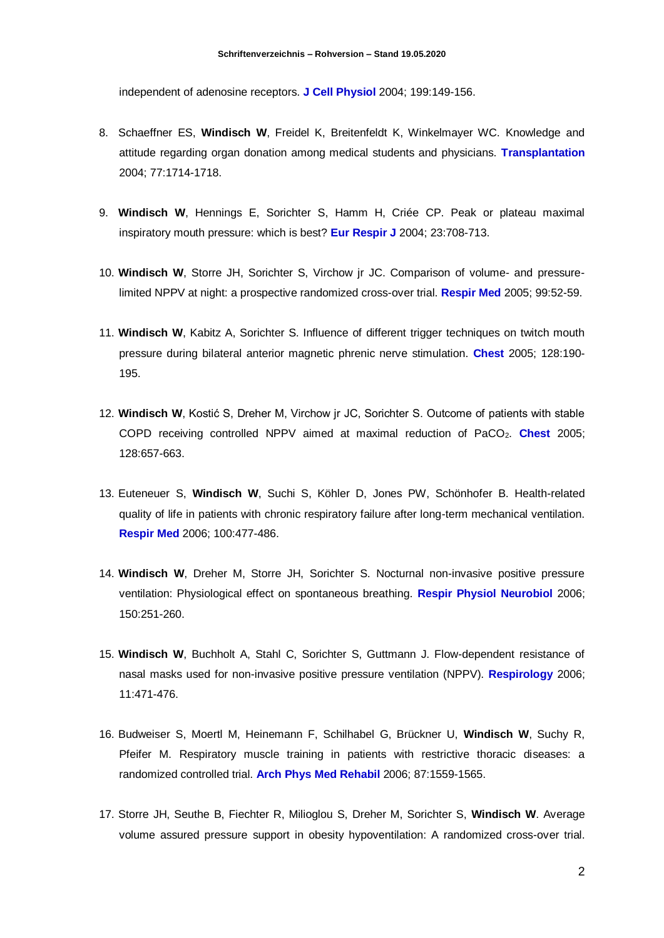independent of adenosine receptors. **J Cell Physiol** 2004; 199:149-156.

- 8. Schaeffner ES, **Windisch W**, Freidel K, Breitenfeldt K, Winkelmayer WC. Knowledge and attitude regarding organ donation among medical students and physicians. **Transplantation**  2004; 77:1714-1718.
- 9. **Windisch W**, Hennings E, Sorichter S, Hamm H, Criée CP. Peak or plateau maximal inspiratory mouth pressure: which is best? **Eur Respir J** 2004; 23:708-713.
- 10. **Windisch W**, Storre JH, Sorichter S, Virchow jr JC. Comparison of volume- and pressurelimited NPPV at night: a prospective randomized cross-over trial. **Respir Med** 2005; 99:52-59.
- 11. **Windisch W**, Kabitz A, Sorichter S. Influence of different trigger techniques on twitch mouth pressure during bilateral anterior magnetic phrenic nerve stimulation. **Chest** 2005; 128:190- 195.
- 12. **Windisch W**, Kostić S, Dreher M, Virchow jr JC, Sorichter S. Outcome of patients with stable COPD receiving controlled NPPV aimed at maximal reduction of PaCO2. **Chest** 2005; 128:657-663.
- 13. Euteneuer S, **Windisch W**, Suchi S, Köhler D, Jones PW, Schönhofer B. Health-related quality of life in patients with chronic respiratory failure after long-term mechanical ventilation. **Respir Med** 2006; 100:477-486.
- 14. **Windisch W**, Dreher M, Storre JH, Sorichter S. Nocturnal non-invasive positive pressure ventilation: Physiological effect on spontaneous breathing. **Respir Physiol Neurobiol** 2006; 150:251-260.
- 15. **Windisch W**, Buchholt A, Stahl C, Sorichter S, Guttmann J. Flow-dependent resistance of nasal masks used for non-invasive positive pressure ventilation (NPPV). **Respirology** 2006; 11:471-476.
- 16. Budweiser S, Moertl M, Heinemann F, Schilhabel G, Brückner U, **Windisch W**, Suchy R, Pfeifer M. Respiratory muscle training in patients with restrictive thoracic diseases: a randomized controlled trial. **Arch Phys Med Rehabil** 2006; 87:1559-1565.
- 17. Storre JH, Seuthe B, Fiechter R, Milioglou S, Dreher M, Sorichter S, **Windisch W**. Average volume assured pressure support in obesity hypoventilation: A randomized cross-over trial.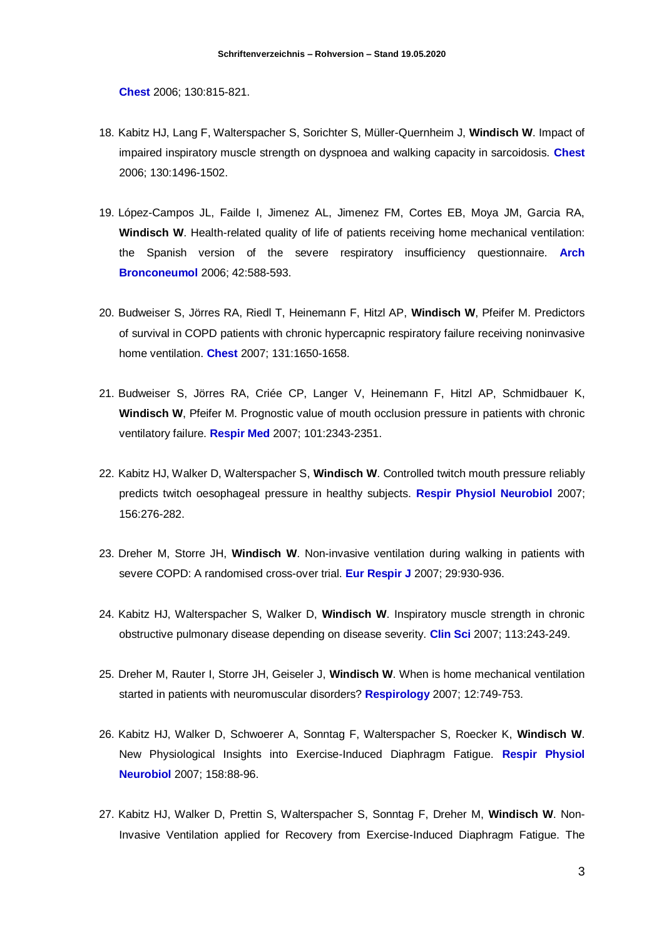**Chest** 2006; 130:815-821.

- 18. Kabitz HJ, Lang F, Walterspacher S, Sorichter S, Müller-Quernheim J, **Windisch W**. Impact of impaired inspiratory muscle strength on dyspnoea and walking capacity in sarcoidosis. **Chest**  2006; 130:1496-1502.
- 19. López-Campos JL, Failde I, Jimenez AL, Jimenez FM, Cortes EB, Moya JM, Garcia RA, **Windisch W**. Health-related quality of life of patients receiving home mechanical ventilation: the Spanish version of the severe respiratory insufficiency questionnaire. **Arch Bronconeumol** 2006; 42:588-593.
- 20. Budweiser S, Jörres RA, Riedl T, Heinemann F, Hitzl AP, **Windisch W**, Pfeifer M. Predictors of survival in COPD patients with chronic hypercapnic respiratory failure receiving noninvasive home ventilation. **Chest** 2007; 131:1650-1658.
- 21. Budweiser S, Jörres RA, Criée CP, Langer V, Heinemann F, Hitzl AP, Schmidbauer K, **Windisch W**, Pfeifer M. Prognostic value of mouth occlusion pressure in patients with chronic ventilatory failure. **Respir Med** 2007; 101:2343-2351.
- 22. Kabitz HJ, Walker D, Walterspacher S, **Windisch W**. Controlled twitch mouth pressure reliably predicts twitch oesophageal pressure in healthy subjects. **Respir Physiol Neurobiol** 2007; 156:276-282.
- 23. Dreher M, Storre JH, **Windisch W**. Non-invasive ventilation during walking in patients with severe COPD: A randomised cross-over trial. **Eur Respir J** 2007; 29:930-936.
- 24. Kabitz HJ, Walterspacher S, Walker D, **Windisch W**. Inspiratory muscle strength in chronic obstructive pulmonary disease depending on disease severity. **Clin Sci** 2007; 113:243-249.
- 25. Dreher M, Rauter I, Storre JH, Geiseler J, **Windisch W**. When is home mechanical ventilation started in patients with neuromuscular disorders? **Respirology** 2007; 12:749-753.
- 26. Kabitz HJ, Walker D, Schwoerer A, Sonntag F, Walterspacher S, Roecker K, **Windisch W**. New Physiological Insights into Exercise-Induced Diaphragm Fatigue. **Respir Physiol Neurobiol** 2007; 158:88-96.
- 27. Kabitz HJ, Walker D, Prettin S, Walterspacher S, Sonntag F, Dreher M, **Windisch W**. Non-Invasive Ventilation applied for Recovery from Exercise-Induced Diaphragm Fatigue. The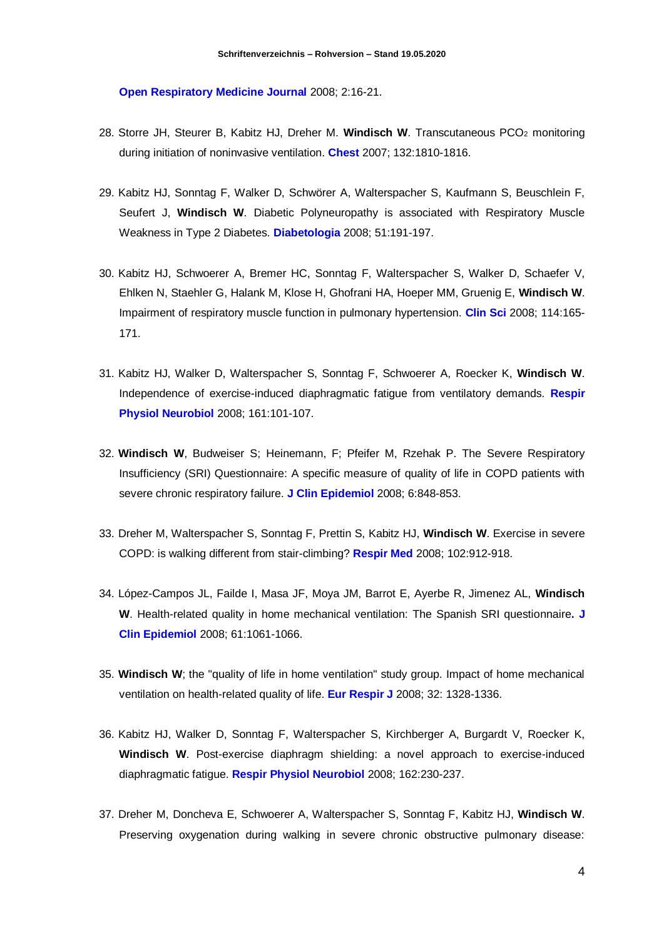**Open Respiratory Medicine Journal** 2008; 2:16-21.

- 28. Storre JH, Steurer B, Kabitz HJ, Dreher M. **Windisch W**. Transcutaneous PCO<sup>2</sup> monitoring during initiation of noninvasive ventilation. **Chest** 2007; 132:1810-1816.
- 29. Kabitz HJ, Sonntag F, Walker D, Schwörer A, Walterspacher S, Kaufmann S, Beuschlein F, Seufert J, **Windisch W**. Diabetic Polyneuropathy is associated with Respiratory Muscle Weakness in Type 2 Diabetes. **Diabetologia** 2008; 51:191-197.
- 30. Kabitz HJ, Schwoerer A, Bremer HC, Sonntag F, Walterspacher S, Walker D, Schaefer V, Ehlken N, Staehler G, Halank M, Klose H, Ghofrani HA, Hoeper MM, Gruenig E, **Windisch W**. Impairment of respiratory muscle function in pulmonary hypertension. **Clin Sci** 2008; 114:165- 171.
- 31. Kabitz HJ, Walker D, Walterspacher S, Sonntag F, Schwoerer A, Roecker K, **Windisch W**. Independence of exercise-induced diaphragmatic fatigue from ventilatory demands. **Respir Physiol Neurobiol** 2008; 161:101-107.
- 32. **Windisch W**, Budweiser S; Heinemann, F; Pfeifer M, Rzehak P. The Severe Respiratory Insufficiency (SRI) Questionnaire: A specific measure of quality of life in COPD patients with severe chronic respiratory failure. **J Clin Epidemiol** 2008; 6:848-853.
- 33. Dreher M, Walterspacher S, Sonntag F, Prettin S, Kabitz HJ, **Windisch W**. Exercise in severe COPD: is walking different from stair-climbing? **Respir Med** 2008; 102:912-918.
- 34. López-Campos JL, Failde I, Masa JF, Moya JM, Barrot E, Ayerbe R, Jimenez AL, **Windisch W**. Health-related quality in home mechanical ventilation: The Spanish SRI questionnaire**. J Clin Epidemiol** 2008; 61:1061-1066.
- 35. **Windisch W**; the "quality of life in home ventilation" study group. Impact of home mechanical ventilation on health-related quality of life. **Eur Respir J** 2008; 32: 1328-1336.
- 36. Kabitz HJ, Walker D, Sonntag F, Walterspacher S, Kirchberger A, Burgardt V, Roecker K, **Windisch W**. Post-exercise diaphragm shielding: a novel approach to exercise-induced diaphragmatic fatigue. **Respir Physiol Neurobiol** 2008; 162:230-237.
- 37. Dreher M, Doncheva E, Schwoerer A, Walterspacher S, Sonntag F, Kabitz HJ, **Windisch W**. Preserving oxygenation during walking in severe chronic obstructive pulmonary disease: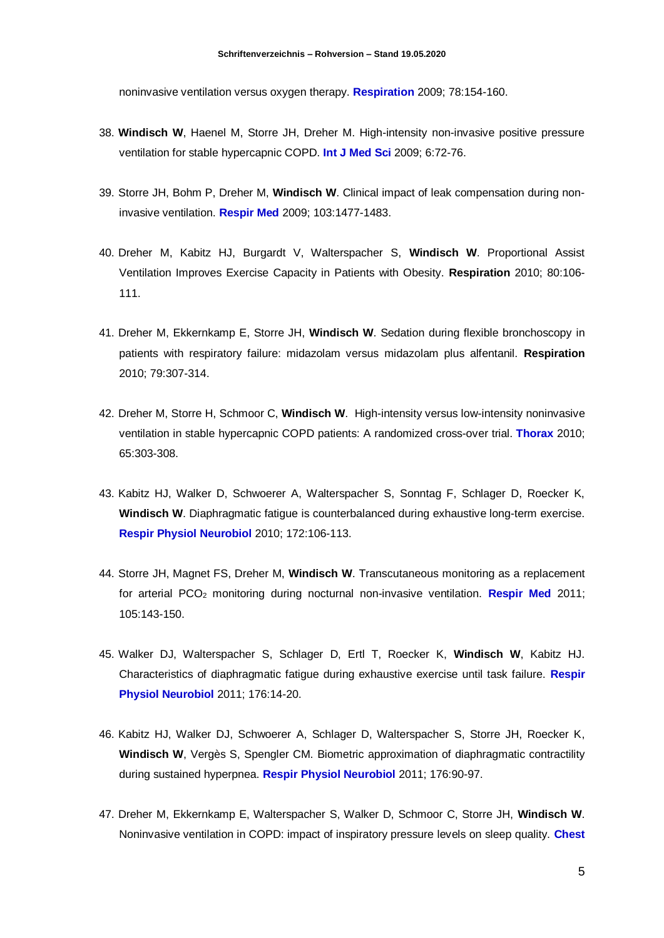noninvasive ventilation versus oxygen therapy. **Respiration** 2009; 78:154-160.

- 38. **Windisch W**, Haenel M, Storre JH, Dreher M. High-intensity non-invasive positive pressure ventilation for stable hypercapnic COPD. **Int J Med Sci** 2009; 6:72-76.
- 39. Storre JH, Bohm P, Dreher M, **Windisch W**. Clinical impact of leak compensation during noninvasive ventilation. **Respir Med** 2009; 103:1477-1483.
- 40. Dreher M, Kabitz HJ, Burgardt V, Walterspacher S, **Windisch W**. Proportional Assist Ventilation Improves Exercise Capacity in Patients with Obesity. **Respiration** 2010; 80:106- 111.
- 41. Dreher M, Ekkernkamp E, Storre JH, **Windisch W**. Sedation during flexible bronchoscopy in patients with respiratory failure: midazolam versus midazolam plus alfentanil. **Respiration** 2010; 79:307-314.
- 42. Dreher M, Storre H, Schmoor C, **Windisch W**. High-intensity versus low-intensity noninvasive ventilation in stable hypercapnic COPD patients: A randomized cross-over trial. **Thorax** 2010; 65:303-308.
- 43. Kabitz HJ, Walker D, Schwoerer A, Walterspacher S, Sonntag F, Schlager D, Roecker K, **Windisch W**. Diaphragmatic fatigue is counterbalanced during exhaustive long-term exercise. **Respir Physiol Neurobiol** 2010; 172:106-113.
- 44. Storre JH, Magnet FS, Dreher M, **Windisch W**. Transcutaneous monitoring as a replacement for arterial PCO<sup>2</sup> monitoring during nocturnal non-invasive ventilation. **Respir Med** 2011; 105:143-150.
- 45. Walker DJ, Walterspacher S, Schlager D, Ertl T, Roecker K, **Windisch W**, Kabitz HJ. Characteristics of diaphragmatic fatigue during exhaustive exercise until task failure. **Respir Physiol Neurobiol** 2011; 176:14-20.
- 46. Kabitz HJ, Walker DJ, Schwoerer A, Schlager D, Walterspacher S, Storre JH, Roecker K, **Windisch W**, Vergès S, Spengler CM. Biometric approximation of diaphragmatic contractility during sustained hyperpnea. **Respir Physiol Neurobiol** 2011; 176:90-97.
- 47. Dreher M, Ekkernkamp E, Walterspacher S, Walker D, Schmoor C, Storre JH, **Windisch W**. Noninvasive ventilation in COPD: impact of inspiratory pressure levels on sleep quality. **Chest**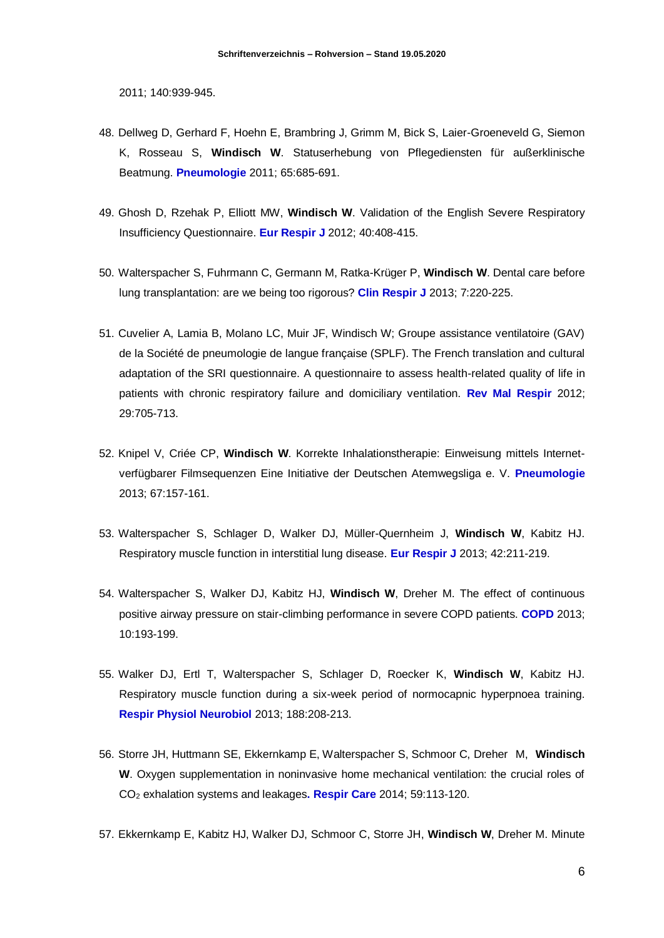2011; 140:939-945.

- 48. Dellweg D, Gerhard F, Hoehn E, Brambring J, Grimm M, Bick S, Laier-Groeneveld G, Siemon K, Rosseau S, **Windisch W**. Statuserhebung von Pflegediensten für außerklinische Beatmung. **Pneumologie** 2011; 65:685-691.
- 49. Ghosh D, Rzehak P, Elliott MW, **Windisch W**. Validation of the English Severe Respiratory Insufficiency Questionnaire. **Eur Respir J** 2012; 40:408-415.
- 50. Walterspacher S, Fuhrmann C, Germann M, Ratka-Krüger P, **Windisch W**. Dental care before lung transplantation: are we being too rigorous? **Clin Respir J** 2013; 7:220-225.
- 51. Cuvelier A, Lamia B, Molano LC, Muir JF, Windisch W; Groupe assistance ventilatoire (GAV) de la Société de pneumologie de langue française (SPLF). The French translation and cultural adaptation of the SRI questionnaire. A questionnaire to assess health-related quality of life in patients with chronic respiratory failure and domiciliary ventilation. **Rev Mal Respir** 2012; 29:705-713.
- 52. Knipel V, Criée CP, **Windisch W**. Korrekte Inhalationstherapie: Einweisung mittels Internetverfügbarer Filmsequenzen Eine Initiative der Deutschen Atemwegsliga e. V. **Pneumologie**  2013; 67:157-161.
- 53. Walterspacher S, Schlager D, Walker DJ, Müller-Quernheim J, **Windisch W**, Kabitz HJ. Respiratory muscle function in interstitial lung disease. **Eur Respir J** 2013; 42:211-219.
- 54. Walterspacher S, Walker DJ, Kabitz HJ, **Windisch W**, Dreher M. The effect of continuous positive airway pressure on stair-climbing performance in severe COPD patients. **COPD** 2013; 10:193-199.
- 55. Walker DJ, Ertl T, Walterspacher S, Schlager D, Roecker K, **Windisch W**, Kabitz HJ. Respiratory muscle function during a six-week period of normocapnic hyperpnoea training. **Respir Physiol Neurobiol** 2013; 188:208-213.
- 56. Storre JH, Huttmann SE, Ekkernkamp E, Walterspacher S, Schmoor C, Dreher M, **Windisch W**. Oxygen supplementation in noninvasive home mechanical ventilation: the crucial roles of CO<sup>2</sup> exhalation systems and leakages**. Respir Care** 2014; 59:113-120.
- 57. Ekkernkamp E, Kabitz HJ, Walker DJ, Schmoor C, Storre JH, **Windisch W**, Dreher M. Minute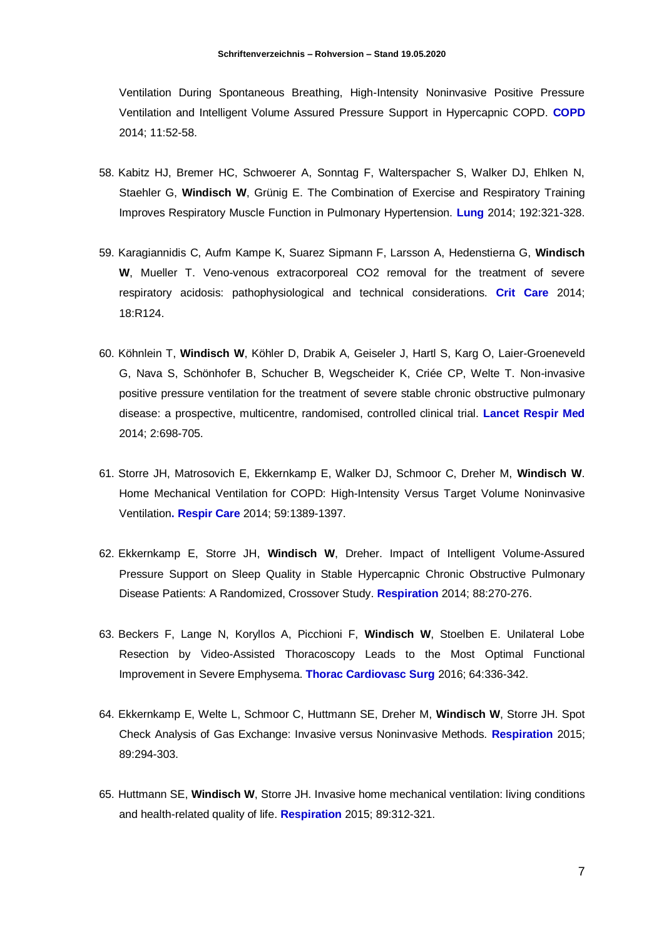Ventilation During Spontaneous Breathing, High-Intensity Noninvasive Positive Pressure Ventilation and Intelligent Volume Assured Pressure Support in Hypercapnic COPD. **COPD** 2014; 11:52-58.

- 58. Kabitz HJ, Bremer HC, Schwoerer A, Sonntag F, Walterspacher S, Walker DJ, Ehlken N, Staehler G, **Windisch W**, Grünig E. The Combination of Exercise and Respiratory Training Improves Respiratory Muscle Function in Pulmonary Hypertension. **Lung** 2014; 192:321-328.
- 59. Karagiannidis C, Aufm Kampe K, Suarez Sipmann F, Larsson A, Hedenstierna G, **Windisch W**, Mueller T. Veno-venous extracorporeal CO2 removal for the treatment of severe respiratory acidosis: pathophysiological and technical considerations. **Crit Care** 2014; 18:R124.
- 60. Köhnlein T, **Windisch W**, Köhler D, Drabik A, Geiseler J, Hartl S, Karg O, Laier-Groeneveld G, Nava S, Schönhofer B, Schucher B, Wegscheider K, Criée CP, Welte T. Non-invasive positive pressure ventilation for the treatment of severe stable chronic obstructive pulmonary disease: a prospective, multicentre, randomised, controlled clinical trial. **Lancet Respir Med** 2014; 2:698-705.
- 61. Storre JH, Matrosovich E, Ekkernkamp E, Walker DJ, Schmoor C, Dreher M, **Windisch W**. Home Mechanical Ventilation for COPD: High-Intensity Versus Target Volume Noninvasive Ventilation**. Respir Care** 2014; 59:1389-1397.
- 62. Ekkernkamp E, Storre JH, **Windisch W**, Dreher. Impact of Intelligent Volume-Assured Pressure Support on Sleep Quality in Stable Hypercapnic Chronic Obstructive Pulmonary Disease Patients: A Randomized, Crossover Study. **Respiration** 2014; 88:270-276.
- 63. Beckers F, Lange N, Koryllos A, Picchioni F, **Windisch W**, Stoelben E. Unilateral Lobe Resection by Video-Assisted Thoracoscopy Leads to the Most Optimal Functional Improvement in Severe Emphysema. **Thorac Cardiovasc Surg** 2016; 64:336-342.
- 64. Ekkernkamp E, Welte L, Schmoor C, Huttmann SE, Dreher M, **Windisch W**, Storre JH. Spot Check Analysis of Gas Exchange: Invasive versus Noninvasive Methods. **Respiration** 2015; 89:294-303.
- 65. Huttmann SE, **Windisch W**, Storre JH. Invasive home mechanical ventilation: living conditions and health-related quality of life. **Respiration** 2015; 89:312-321.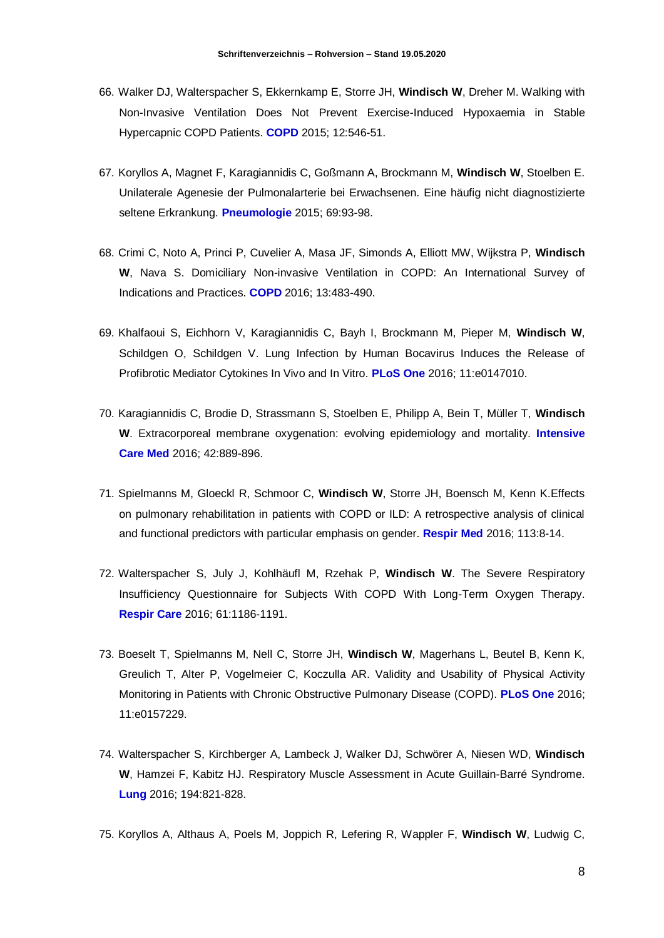- 66. Walker DJ, Walterspacher S, Ekkernkamp E, Storre JH, **Windisch W**, Dreher M. Walking with Non-Invasive Ventilation Does Not Prevent Exercise-Induced Hypoxaemia in Stable Hypercapnic COPD Patients. **COPD** 2015; 12:546-51.
- 67. Koryllos A, Magnet F, Karagiannidis C, Goßmann A, Brockmann M, **Windisch W**, Stoelben E. Unilaterale Agenesie der Pulmonalarterie bei Erwachsenen. Eine häufig nicht diagnostizierte seltene Erkrankung. **Pneumologie** 2015; 69:93-98.
- 68. Crimi C, Noto A, Princi P, Cuvelier A, Masa JF, Simonds A, Elliott MW, Wijkstra P, **Windisch W**, Nava S. Domiciliary Non-invasive Ventilation in COPD: An International Survey of Indications and Practices. **COPD** 2016; 13:483-490.
- 69. Khalfaoui S, Eichhorn V, Karagiannidis C, Bayh I, Brockmann M, Pieper M, **Windisch W**, Schildgen O, Schildgen V. Lung Infection by Human Bocavirus Induces the Release of Profibrotic Mediator Cytokines In Vivo and In Vitro. **PLoS One** 2016; 11:e0147010.
- 70. Karagiannidis C, Brodie D, Strassmann S, Stoelben E, Philipp A, Bein T, Müller T, **Windisch W**. Extracorporeal membrane oxygenation: evolving epidemiology and mortality. **Intensive Care Med** 2016; 42:889-896.
- 71. Spielmanns M, Gloeckl R, Schmoor C, **Windisch W**, Storre JH, Boensch M, Kenn K.Effects on pulmonary rehabilitation in patients with COPD or ILD: A retrospective analysis of clinical and functional predictors with particular emphasis on gender. **Respir Med** 2016; 113:8-14.
- 72. Walterspacher S, July J, Kohlhäufl M, Rzehak P, **Windisch W**. The Severe Respiratory Insufficiency Questionnaire for Subjects With COPD With Long-Term Oxygen Therapy. **Respir Care** 2016; 61:1186-1191.
- 73. Boeselt T, Spielmanns M, Nell C, Storre JH, **Windisch W**, Magerhans L, Beutel B, Kenn K, Greulich T, Alter P, Vogelmeier C, Koczulla AR. Validity and Usability of Physical Activity Monitoring in Patients with Chronic Obstructive Pulmonary Disease (COPD). **PLoS One** 2016; 11:e0157229.
- 74. Walterspacher S, Kirchberger A, Lambeck J, Walker DJ, Schwörer A, Niesen WD, **Windisch W**, Hamzei F, Kabitz HJ. Respiratory Muscle Assessment in Acute Guillain-Barré Syndrome. **Lung** 2016; 194:821-828.
- 75. Koryllos A, Althaus A, Poels M, Joppich R, Lefering R, Wappler F, **Windisch W**, Ludwig C,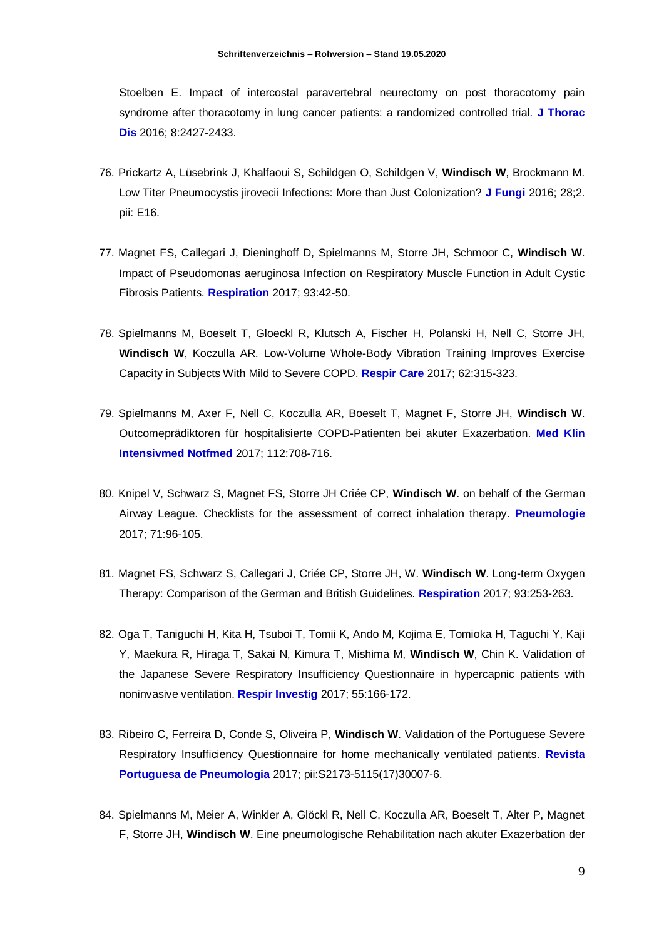Stoelben E. Impact of intercostal paravertebral neurectomy on post thoracotomy pain syndrome after thoracotomy in lung cancer patients: a randomized controlled trial. **J Thorac Dis** 2016; 8:2427-2433.

- 76. Prickartz A, Lüsebrink J, Khalfaoui S, Schildgen O, Schildgen V, **Windisch W**, Brockmann M. Low Titer Pneumocystis jirovecii Infections: More than Just Colonization? **J Fungi** 2016; 28;2. pii: E16.
- 77. Magnet FS, Callegari J, Dieninghoff D, Spielmanns M, Storre JH, Schmoor C, **Windisch W**. Impact of Pseudomonas aeruginosa Infection on Respiratory Muscle Function in Adult Cystic Fibrosis Patients. **Respiration** 2017; 93:42-50.
- 78. Spielmanns M, Boeselt T, Gloeckl R, Klutsch A, Fischer H, Polanski H, Nell C, Storre JH, **Windisch W**, Koczulla AR. Low-Volume Whole-Body Vibration Training Improves Exercise Capacity in Subjects With Mild to Severe COPD. **Respir Care** 2017; 62:315-323.
- 79. Spielmanns M, Axer F, Nell C, Koczulla AR, Boeselt T, Magnet F, Storre JH, **Windisch W**. Outcomeprädiktoren für hospitalisierte COPD-Patienten bei akuter Exazerbation. **Med Klin Intensivmed Notfmed** 2017; 112:708-716.
- 80. Knipel V, Schwarz S, Magnet FS, Storre JH Criée CP, **Windisch W**. on behalf of the German Airway League. Checklists for the assessment of correct inhalation therapy. **Pneumologie**  2017; 71:96-105.
- 81. Magnet FS, Schwarz S, Callegari J, Criée CP, Storre JH, W. **Windisch W**. Long-term Oxygen Therapy: Comparison of the German and British Guidelines. **Respiration** 2017; 93:253-263.
- 82. Oga T, Taniguchi H, Kita H, Tsuboi T, Tomii K, Ando M, Kojima E, Tomioka H, Taguchi Y, Kaji Y, Maekura R, Hiraga T, Sakai N, Kimura T, Mishima M, **Windisch W**, Chin K. Validation of the Japanese Severe Respiratory Insufficiency Questionnaire in hypercapnic patients with noninvasive ventilation. **Respir Investig** 2017; 55:166-172.
- 83. Ribeiro C, Ferreira D, Conde S, Oliveira P, **Windisch W**. Validation of the Portuguese Severe Respiratory Insufficiency Questionnaire for home mechanically ventilated patients. **Revista Portuguesa de Pneumologia** 2017; pii:S2173-5115(17)30007-6.
- 84. Spielmanns M, Meier A, Winkler A, Glöckl R, Nell C, Koczulla AR, Boeselt T, Alter P, Magnet F, Storre JH, **Windisch W**. Eine pneumologische Rehabilitation nach akuter Exazerbation der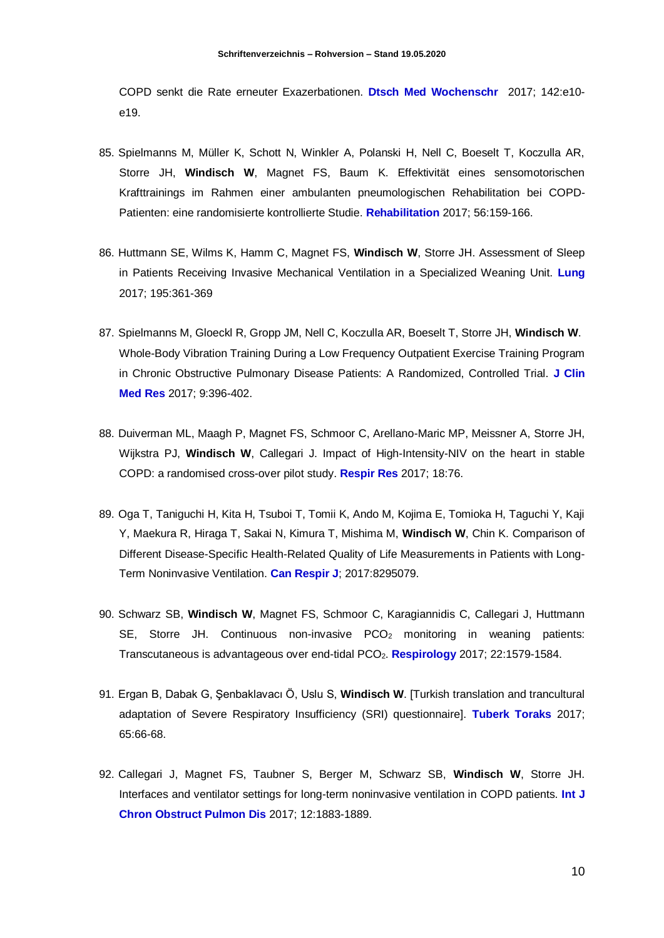COPD senkt die Rate erneuter Exazerbationen. **Dtsch Med Wochenschr** 2017; 142:e10 e19.

- 85. Spielmanns M, Müller K, Schott N, Winkler A, Polanski H, Nell C, Boeselt T, Koczulla AR, Storre JH, **Windisch W**, Magnet FS, Baum K. Effektivität eines sensomotorischen Krafttrainings im Rahmen einer ambulanten pneumologischen Rehabilitation bei COPD-Patienten: eine randomisierte kontrollierte Studie. **Rehabilitation** 2017; 56:159-166.
- 86. Huttmann SE, Wilms K, Hamm C, Magnet FS, **Windisch W**, Storre JH. Assessment of Sleep in Patients Receiving Invasive Mechanical Ventilation in a Specialized Weaning Unit. **Lung** 2017; 195:361-369
- 87. Spielmanns M, Gloeckl R, Gropp JM, Nell C, Koczulla AR, Boeselt T, Storre JH, **Windisch W**. Whole-Body Vibration Training During a Low Frequency Outpatient Exercise Training Program in Chronic Obstructive Pulmonary Disease Patients: A Randomized, Controlled Trial. **J Clin Med Res** 2017; 9:396-402.
- 88. Duiverman ML, Maagh P, Magnet FS, Schmoor C, Arellano-Maric MP, Meissner A, Storre JH, Wijkstra PJ, **Windisch W**, Callegari J. Impact of High-Intensity-NIV on the heart in stable COPD: a randomised cross-over pilot study. **Respir Res** 2017; 18:76.
- 89. Oga T, Taniguchi H, Kita H, Tsuboi T, Tomii K, Ando M, Kojima E, Tomioka H, Taguchi Y, Kaji Y, Maekura R, Hiraga T, Sakai N, Kimura T, Mishima M, **Windisch W**, Chin K. Comparison of Different Disease-Specific Health-Related Quality of Life Measurements in Patients with Long-Term Noninvasive Ventilation. **Can Respir J**; 2017:8295079.
- 90. Schwarz SB, **Windisch W**, Magnet FS, Schmoor C, Karagiannidis C, Callegari J, Huttmann SE, Storre JH. Continuous non-invasive PCO<sup>2</sup> monitoring in weaning patients: Transcutaneous is advantageous over end-tidal PCO2. **Respirology** 2017; 22:1579-1584.
- 91. Ergan B, Dabak G, Şenbaklavacı Ö, Uslu S, **Windisch W**. [Turkish translation and trancultural adaptation of Severe Respiratory Insufficiency (SRI) questionnaire]. **Tuberk Toraks** 2017; 65:66-68.
- 92. Callegari J, Magnet FS, Taubner S, Berger M, Schwarz SB, **Windisch W**, Storre JH. Interfaces and ventilator settings for long-term noninvasive ventilation in COPD patients. **Int J Chron Obstruct Pulmon Dis** 2017; 12:1883-1889.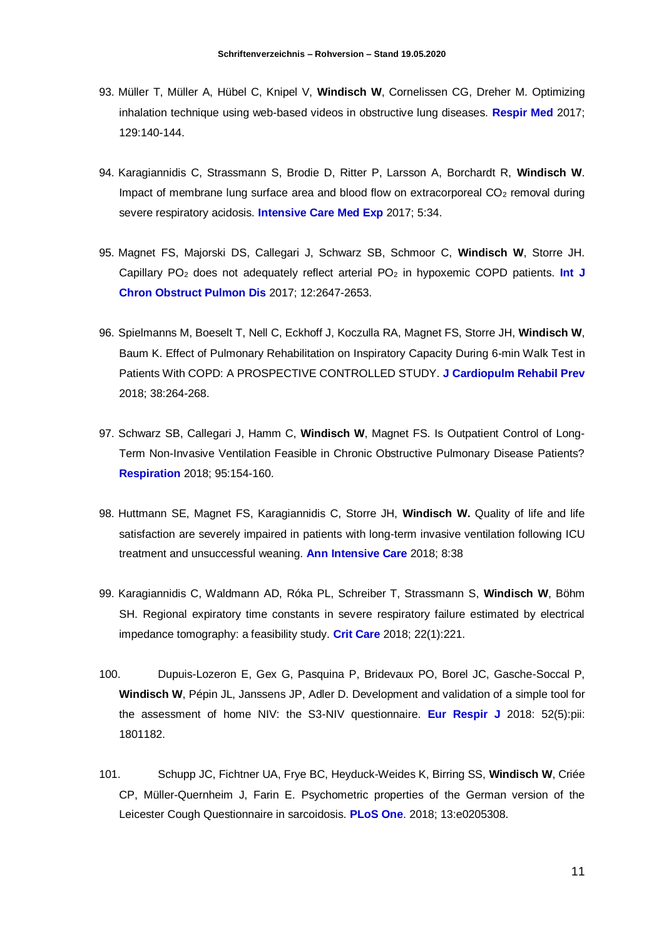- 93. Müller T, Müller A, Hübel C, Knipel V, **Windisch W**, Cornelissen CG, Dreher M. Optimizing inhalation technique using web-based videos in obstructive lung diseases. **Respir Med** 2017; 129:140-144.
- 94. Karagiannidis C, Strassmann S, Brodie D, Ritter P, Larsson A, Borchardt R, **Windisch W**. Impact of membrane lung surface area and blood flow on extracorporeal  $CO<sub>2</sub>$  removal during severe respiratory acidosis. **Intensive Care Med Exp** 2017; 5:34.
- 95. Magnet FS, Majorski DS, Callegari J, Schwarz SB, Schmoor C, **Windisch W**, Storre JH. Capillary PO<sup>2</sup> does not adequately reflect arterial PO<sup>2</sup> in hypoxemic COPD patients. **Int J Chron Obstruct Pulmon Dis** 2017; 12:2647-2653.
- 96. Spielmanns M, Boeselt T, Nell C, Eckhoff J, Koczulla RA, Magnet FS, Storre JH, **Windisch W**, Baum K. Effect of Pulmonary Rehabilitation on Inspiratory Capacity During 6-min Walk Test in Patients With COPD: A PROSPECTIVE CONTROLLED STUDY. **J Cardiopulm Rehabil Prev** 2018; 38:264-268.
- 97. Schwarz SB, Callegari J, Hamm C, **Windisch W**, Magnet FS. Is Outpatient Control of Long-Term Non-Invasive Ventilation Feasible in Chronic Obstructive Pulmonary Disease Patients? **Respiration** 2018; 95:154-160.
- 98. Huttmann SE, Magnet FS, Karagiannidis C, Storre JH, **Windisch W.** Quality of life and life satisfaction are severely impaired in patients with long-term invasive ventilation following ICU treatment and unsuccessful weaning. **Ann Intensive Care** 2018; 8:38
- 99. Karagiannidis C, Waldmann AD, Róka PL, Schreiber T, Strassmann S, **Windisch W**, Böhm SH. Regional expiratory time constants in severe respiratory failure estimated by electrical impedance tomography: a feasibility study. **Crit Care** 2018; 22(1):221.
- 100. Dupuis-Lozeron E, Gex G, Pasquina P, Bridevaux PO, Borel JC, Gasche-Soccal P, **Windisch W**, Pépin JL, Janssens JP, Adler D. Development and validation of a simple tool for the assessment of home NIV: the S3-NIV questionnaire. **Eur Respir J** 2018: 52(5):pii: 1801182.
- 101. Schupp JC, Fichtner UA, Frye BC, Heyduck-Weides K, Birring SS, **Windisch W**, Criée CP, Müller-Quernheim J, Farin E. Psychometric properties of the German version of the Leicester Cough Questionnaire in sarcoidosis. **PLoS One**. 2018; 13:e0205308.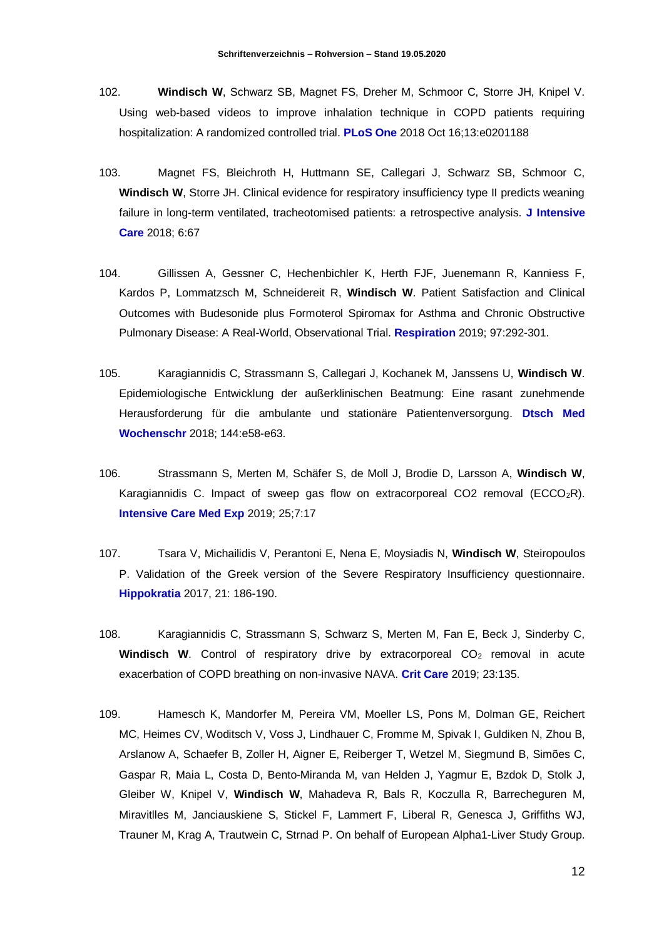- 102. **Windisch W**, Schwarz SB, Magnet FS, Dreher M, Schmoor C, Storre JH, Knipel V. Using web-based videos to improve inhalation technique in COPD patients requiring hospitalization: A randomized controlled trial. **PLoS One** 2018 Oct 16;13:e0201188
- 103. Magnet FS, Bleichroth H, Huttmann SE, Callegari J, Schwarz SB, Schmoor C, **Windisch W**, Storre JH. Clinical evidence for respiratory insufficiency type II predicts weaning failure in long-term ventilated, tracheotomised patients: a retrospective analysis. **J Intensive Care** 2018; 6:67
- 104. Gillissen A, Gessner C, Hechenbichler K, Herth FJF, Juenemann R, Kanniess F, Kardos P, Lommatzsch M, Schneidereit R, **Windisch W**. Patient Satisfaction and Clinical Outcomes with Budesonide plus Formoterol Spiromax for Asthma and Chronic Obstructive Pulmonary Disease: A Real-World, Observational Trial. **Respiration** 2019; 97:292-301.
- 105. Karagiannidis C, Strassmann S, Callegari J, Kochanek M, Janssens U, **Windisch W**. Epidemiologische Entwicklung der außerklinischen Beatmung: Eine rasant zunehmende Herausforderung für die ambulante und stationäre Patientenversorgung. **Dtsch Med Wochenschr** 2018; 144:e58-e63.
- 106. Strassmann S, Merten M, Schäfer S, de Moll J, Brodie D, Larsson A, **Windisch W**, Karagiannidis C. Impact of sweep gas flow on extracorporeal CO2 removal (ECCO<sub>2</sub>R). **Intensive Care Med Exp** 2019; 25;7:17
- 107. Tsara V, Michailidis V, Perantoni E, Nena E, Moysiadis N, **Windisch W**, Steiropoulos P. Validation of the Greek version of the Severe Respiratory Insufficiency questionnaire. **Hippokratia** 2017, 21: 186-190.
- 108. Karagiannidis C, Strassmann S, Schwarz S, Merten M, Fan E, Beck J, Sinderby C, **Windisch W.** Control of respiratory drive by extracorporeal CO<sub>2</sub> removal in acute exacerbation of COPD breathing on non-invasive NAVA. **Crit Care** 2019; 23:135.
- 109. Hamesch K, Mandorfer M, Pereira VM, Moeller LS, Pons M, Dolman GE, Reichert MC, Heimes CV, Woditsch V, Voss J, Lindhauer C, Fromme M, Spivak I, Guldiken N, Zhou B, Arslanow A, Schaefer B, Zoller H, Aigner E, Reiberger T, Wetzel M, Siegmund B, Simões C, Gaspar R, Maia L, Costa D, Bento-Miranda M, van Helden J, Yagmur E, Bzdok D, Stolk J, Gleiber W, Knipel V, **Windisch W**, Mahadeva R, Bals R, Koczulla R, Barrecheguren M, Miravitlles M, Janciauskiene S, Stickel F, Lammert F, Liberal R, Genesca J, Griffiths WJ, Trauner M, Krag A, Trautwein C, Strnad P. On behalf of European Alpha1-Liver Study Group.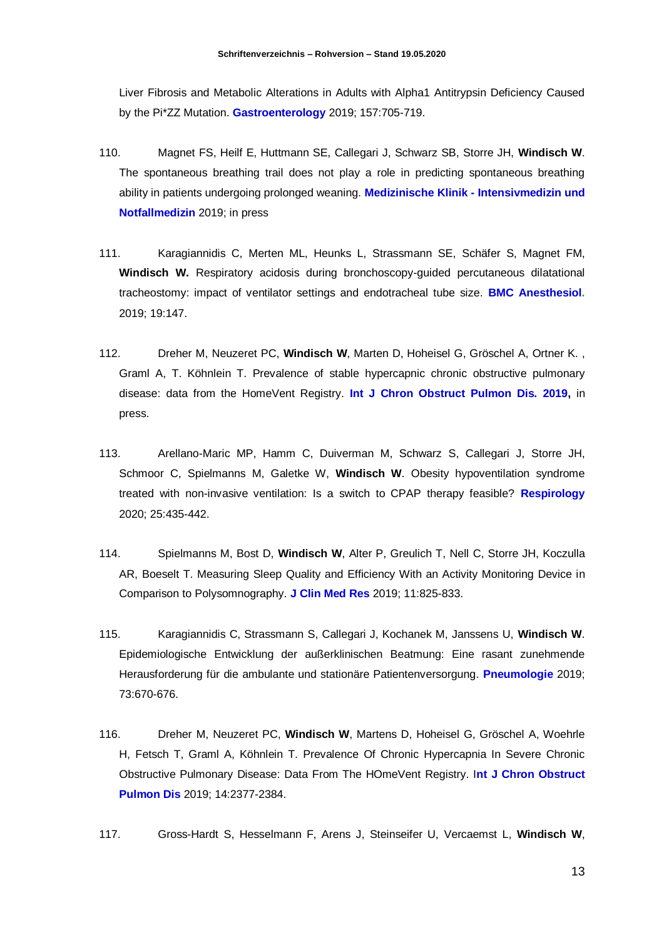Liver Fibrosis and Metabolic Alterations in Adults with Alpha1 Antitrypsin Deficiency Caused by the Pi\*ZZ Mutation. **Gastroenterology** 2019; 157:705-719.

- 110. Magnet FS, Heilf E, Huttmann SE, Callegari J, Schwarz SB, Storre JH, **Windisch W**. The spontaneous breathing trail does not play a role in predicting spontaneous breathing ability in patients undergoing prolonged weaning. **Medizinische Klinik - Intensivmedizin und Notfallmedizin** 2019; in press
- 111. Karagiannidis C, Merten ML, Heunks L, Strassmann SE, Schäfer S, Magnet FM, **Windisch W.** Respiratory acidosis during bronchoscopy-guided percutaneous dilatational tracheostomy: impact of ventilator settings and endotracheal tube size. **BMC Anesthesiol.**  2019; 19:147.
- 112. Dreher M, Neuzeret PC, **Windisch W**, Marten D, Hoheisel G, Gröschel A, Ortner K. , Graml A, T. Köhnlein T. Prevalence of stable hypercapnic chronic obstructive pulmonary disease: data from the HomeVent Registry. **Int J Chron Obstruct Pulmon Dis. 2019,** in press.
- 113. Arellano-Maric MP, Hamm C, Duiverman M, Schwarz S, Callegari J, Storre JH, Schmoor C, Spielmanns M, Galetke W, **Windisch W**. Obesity hypoventilation syndrome treated with non-invasive ventilation: Is a switch to CPAP therapy feasible? **Respirology**  2020; 25:435-442.
- 114. Spielmanns M, Bost D, **Windisch W**, Alter P, Greulich T, Nell C, Storre JH, Koczulla AR, Boeselt T. Measuring Sleep Quality and Efficiency With an Activity Monitoring Device in Comparison to Polysomnography. **J Clin Med Res** 2019; 11:825-833.
- 115. Karagiannidis C, Strassmann S, Callegari J, Kochanek M, Janssens U, **Windisch W**. Epidemiologische Entwicklung der außerklinischen Beatmung: Eine rasant zunehmende Herausforderung für die ambulante und stationäre Patientenversorgung. **Pneumologie** 2019; 73:670-676.
- 116. Dreher M, Neuzeret PC, **Windisch W**, Martens D, Hoheisel G, Gröschel A, Woehrle H, Fetsch T, Graml A, Köhnlein T. Prevalence Of Chronic Hypercapnia In Severe Chronic Obstructive Pulmonary Disease: Data From The HOmeVent Registry. I**nt J Chron Obstruct Pulmon Dis** 2019; 14:2377-2384.
- 117. Gross-Hardt S, Hesselmann F, Arens J, Steinseifer U, Vercaemst L, **Windisch W**,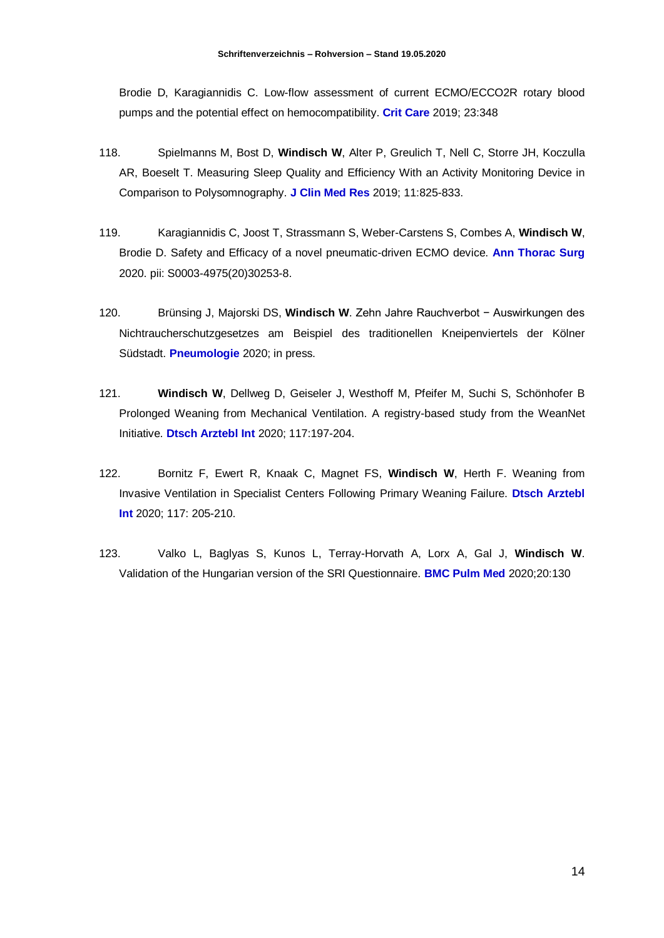Brodie D, Karagiannidis C. Low-flow assessment of current ECMO/ECCO2R rotary blood pumps and the potential effect on hemocompatibility. **Crit Care** 2019; 23:348

- 118. Spielmanns M, Bost D, **Windisch W**, Alter P, Greulich T, Nell C, Storre JH, Koczulla AR, Boeselt T. Measuring Sleep Quality and Efficiency With an Activity Monitoring Device in Comparison to Polysomnography. **J Clin Med Res** 2019; 11:825-833.
- 119. Karagiannidis C, Joost T, Strassmann S, Weber-Carstens S, Combes A, **Windisch W**, Brodie D. Safety and Efficacy of a novel pneumatic-driven ECMO device. **Ann Thorac Surg** 2020. pii: S0003-4975(20)30253-8.
- 120. Brünsing J, Majorski DS, **Windisch W**. Zehn Jahre Rauchverbot − Auswirkungen des Nichtraucherschutzgesetzes am Beispiel des traditionellen Kneipenviertels der Kölner Südstadt. **Pneumologie** 2020; in press.
- 121. **Windisch W**, Dellweg D, Geiseler J, Westhoff M, Pfeifer M, Suchi S, Schönhofer B Prolonged Weaning from Mechanical Ventilation. A registry-based study from the WeanNet Initiative. **Dtsch Arztebl Int** 2020; 117:197-204.
- 122. Bornitz F, Ewert R, Knaak C, Magnet FS, **Windisch W**, Herth F. Weaning from Invasive Ventilation in Specialist Centers Following Primary Weaning Failure. **Dtsch Arztebl Int** 2020; 117: 205-210.
- 123. Valko L, Baglyas S, Kunos L, Terray-Horvath A, Lorx A, Gal J, **Windisch W**. Validation of the Hungarian version of the SRI Questionnaire. **BMC Pulm Med** 2020;20:130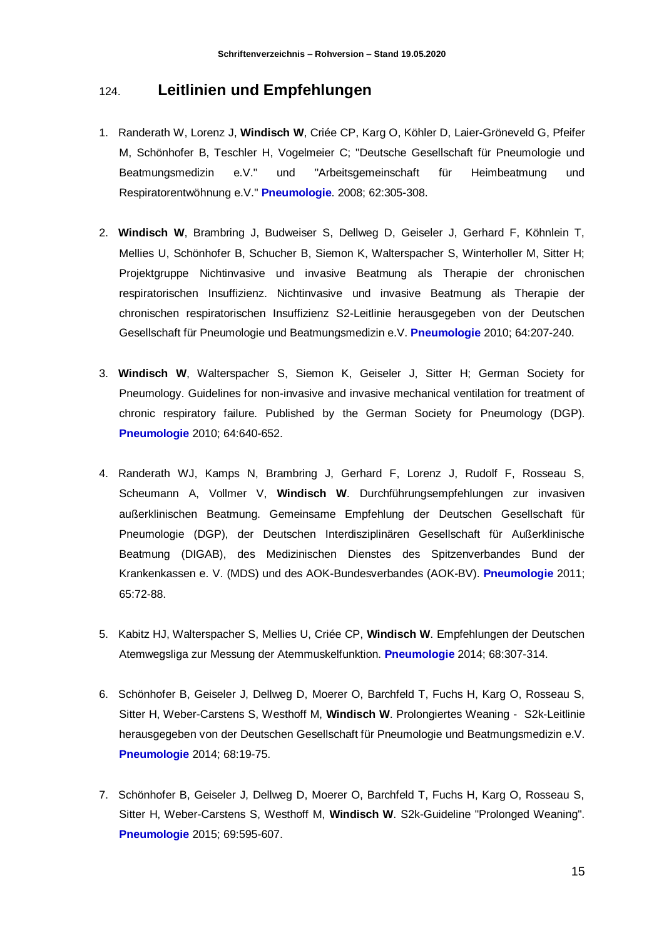#### 124. **Leitlinien und Empfehlungen**

- 1. Randerath W, Lorenz J, **Windisch W**, Criée CP, Karg O, Köhler D, Laier-Gröneveld G, Pfeifer M, Schönhofer B, Teschler H, Vogelmeier C; "Deutsche Gesellschaft für Pneumologie und Beatmungsmedizin e.V." und "Arbeitsgemeinschaft für Heimbeatmung und Respiratorentwöhnung e.V." **Pneumologie**. 2008; 62:305-308.
- 2. **Windisch W**, Brambring J, Budweiser S, Dellweg D, Geiseler J, Gerhard F, Köhnlein T, Mellies U, Schönhofer B, Schucher B, Siemon K, Walterspacher S, Winterholler M, Sitter H; Projektgruppe Nichtinvasive und invasive Beatmung als Therapie der chronischen respiratorischen Insuffizienz. Nichtinvasive und invasive Beatmung als Therapie der chronischen respiratorischen Insuffizienz S2-Leitlinie herausgegeben von der Deutschen Gesellschaft für Pneumologie und Beatmungsmedizin e.V. **Pneumologie** 2010; 64:207-240.
- 3. **Windisch W**, Walterspacher S, Siemon K, Geiseler J, Sitter H; German Society for Pneumology. Guidelines for non-invasive and invasive mechanical ventilation for treatment of chronic respiratory failure. Published by the German Society for Pneumology (DGP). **Pneumologie** 2010; 64:640-652.
- 4. Randerath WJ, Kamps N, Brambring J, Gerhard F, Lorenz J, Rudolf F, Rosseau S, Scheumann A, Vollmer V, **Windisch W**. Durchführungsempfehlungen zur invasiven außerklinischen Beatmung. Gemeinsame Empfehlung der Deutschen Gesellschaft für Pneumologie (DGP), der Deutschen Interdisziplinären Gesellschaft für Außerklinische Beatmung (DIGAB), des Medizinischen Dienstes des Spitzenverbandes Bund der Krankenkassen e. V. (MDS) und des AOK-Bundesverbandes (AOK-BV). **Pneumologie** 2011; 65:72-88.
- 5. Kabitz HJ, Walterspacher S, Mellies U, Criée CP, **Windisch W**. Empfehlungen der Deutschen Atemwegsliga zur Messung der Atemmuskelfunktion. **Pneumologie** 2014; 68:307-314.
- 6. Schönhofer B, Geiseler J, Dellweg D, Moerer O, Barchfeld T, Fuchs H, Karg O, Rosseau S, Sitter H, Weber-Carstens S, Westhoff M, **Windisch W**. Prolongiertes Weaning - S2k-Leitlinie herausgegeben von der Deutschen Gesellschaft für Pneumologie und Beatmungsmedizin e.V. **Pneumologie** 2014; 68:19-75.
- 7. Schönhofer B, Geiseler J, Dellweg D, Moerer O, Barchfeld T, Fuchs H, Karg O, Rosseau S, Sitter H, Weber-Carstens S, Westhoff M, **Windisch W**. S2k-Guideline "Prolonged Weaning". **Pneumologie** 2015; 69:595-607.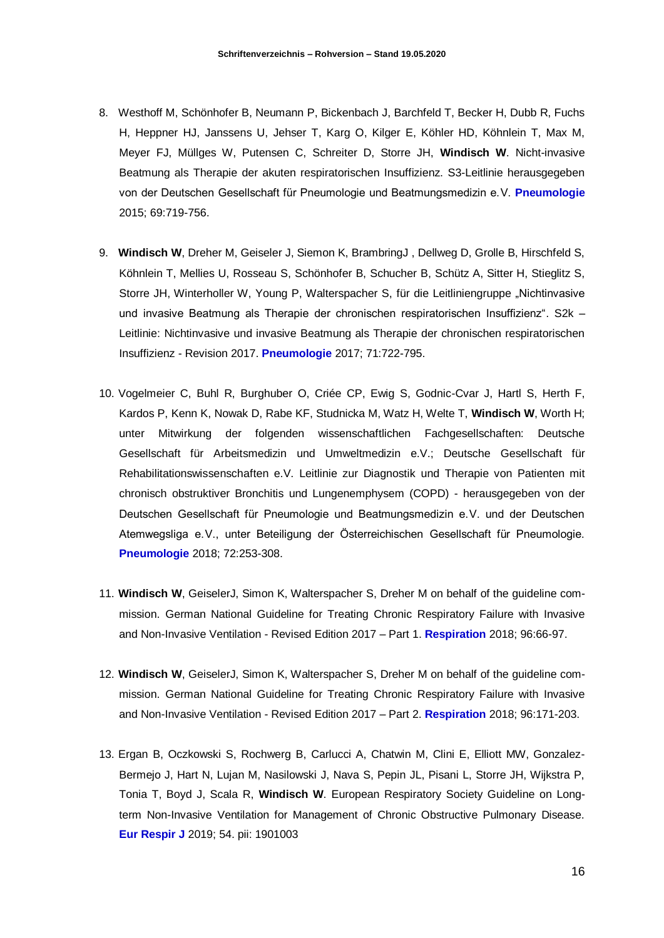- 8. Westhoff M, Schönhofer B, Neumann P, Bickenbach J, Barchfeld T, Becker H, Dubb R, Fuchs H, Heppner HJ, Janssens U, Jehser T, Karg O, Kilger E, Köhler HD, Köhnlein T, Max M, Meyer FJ, Müllges W, Putensen C, Schreiter D, Storre JH, **Windisch W**. Nicht-invasive Beatmung als Therapie der akuten respiratorischen Insuffizienz. S3-Leitlinie herausgegeben von der Deutschen Gesellschaft für Pneumologie und Beatmungsmedizin e. V. **Pneumologie** 2015; 69:719-756.
- 9. **Windisch W**, Dreher M, Geiseler J, Siemon K, BrambringJ , Dellweg D, Grolle B, Hirschfeld S, Köhnlein T, Mellies U, Rosseau S, Schönhofer B, Schucher B, Schütz A, Sitter H, Stieglitz S, Storre JH, Winterholler W, Young P, Walterspacher S, für die Leitliniengruppe "Nichtinvasive und invasive Beatmung als Therapie der chronischen respiratorischen Insuffizienz". S2k – Leitlinie: Nichtinvasive und invasive Beatmung als Therapie der chronischen respiratorischen Insuffizienz - Revision 2017. **Pneumologie** 2017; 71:722-795.
- 10. Vogelmeier C, Buhl R, Burghuber O, Criée CP, Ewig S, Godnic-Cvar J, Hartl S, Herth F, Kardos P, Kenn K, Nowak D, Rabe KF, Studnicka M, Watz H, Welte T, **Windisch W**, Worth H; unter Mitwirkung der folgenden wissenschaftlichen Fachgesellschaften: Deutsche Gesellschaft für Arbeitsmedizin und Umweltmedizin e.V.; Deutsche Gesellschaft für Rehabilitationswissenschaften e.V. Leitlinie zur Diagnostik und Therapie von Patienten mit chronisch obstruktiver Bronchitis und Lungenemphysem (COPD) - herausgegeben von der Deutschen Gesellschaft für Pneumologie und Beatmungsmedizin e. V. und der Deutschen Atemwegsliga e. V., unter Beteiligung der Österreichischen Gesellschaft für Pneumologie. **Pneumologie** 2018; 72:253-308.
- 11. **Windisch W**, GeiselerJ, Simon K, Walterspacher S, Dreher M on behalf of the guideline commission. German National Guideline for Treating Chronic Respiratory Failure with Invasive and Non-Invasive Ventilation - Revised Edition 2017 – Part 1. **Respiration** 2018; 96:66-97.
- 12. **Windisch W**, GeiselerJ, Simon K, Walterspacher S, Dreher M on behalf of the guideline commission. German National Guideline for Treating Chronic Respiratory Failure with Invasive and Non-Invasive Ventilation - Revised Edition 2017 – Part 2. **Respiration** 2018; 96:171-203.
- 13. Ergan B, Oczkowski S, Rochwerg B, Carlucci A, Chatwin M, Clini E, Elliott MW, Gonzalez-Bermejo J, Hart N, Lujan M, Nasilowski J, Nava S, Pepin JL, Pisani L, Storre JH, Wijkstra P, Tonia T, Boyd J, Scala R, **Windisch W**. European Respiratory Society Guideline on Longterm Non-Invasive Ventilation for Management of Chronic Obstructive Pulmonary Disease. **Eur Respir J** 2019; 54. pii: 1901003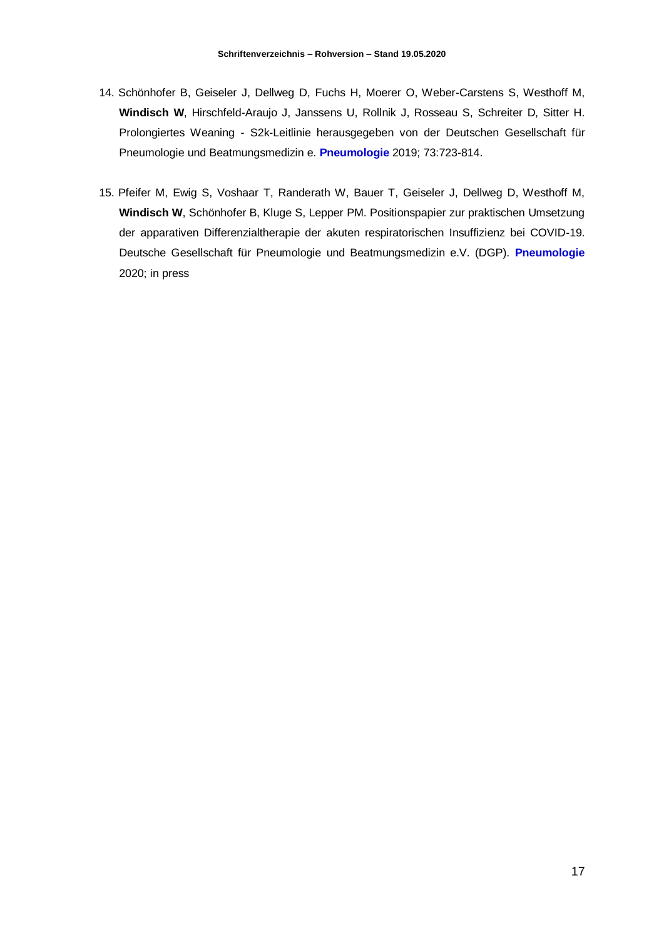- 14. Schönhofer B, Geiseler J, Dellweg D, Fuchs H, Moerer O, Weber-Carstens S, Westhoff M, **Windisch W**, Hirschfeld-Araujo J, Janssens U, Rollnik J, Rosseau S, Schreiter D, Sitter H. Prolongiertes Weaning - S2k-Leitlinie herausgegeben von der Deutschen Gesellschaft für Pneumologie und Beatmungsmedizin e. **Pneumologie** 2019; 73:723-814.
- 15. Pfeifer M, Ewig S, Voshaar T, Randerath W, Bauer T, Geiseler J, Dellweg D, Westhoff M, **Windisch W**, Schönhofer B, Kluge S, Lepper PM. Positionspapier zur praktischen Umsetzung der apparativen Differenzialtherapie der akuten respiratorischen Insuffizienz bei COVID-19. Deutsche Gesellschaft für Pneumologie und Beatmungsmedizin e.V. (DGP). **Pneumologie**  2020; in press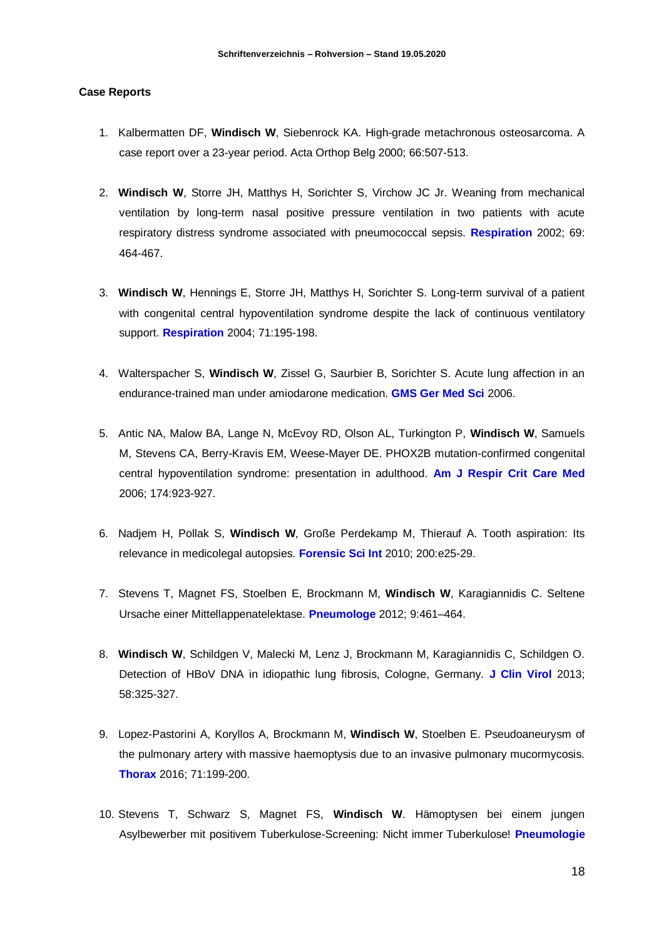#### **Case Reports**

- 1. Kalbermatten DF, **Windisch W**, Siebenrock KA. High-grade metachronous osteosarcoma. A case report over a 23-year period. Acta Orthop Belg 2000; 66:507-513.
- 2. **Windisch W**, Storre JH, Matthys H, Sorichter S, Virchow JC Jr. Weaning from mechanical ventilation by long-term nasal positive pressure ventilation in two patients with acute respiratory distress syndrome associated with pneumococcal sepsis. **Respiration** 2002; 69: 464-467.
- 3. **Windisch W**, Hennings E, Storre JH, Matthys H, Sorichter S. Long-term survival of a patient with congenital central hypoventilation syndrome despite the lack of continuous ventilatory support. **Respiration** 2004; 71:195-198.
- 4. Walterspacher S, **Windisch W**, Zissel G, Saurbier B, Sorichter S. Acute lung affection in an endurance-trained man under amiodarone medication. **GMS Ger Med Sci** 2006.
- 5. Antic NA, Malow BA, Lange N, McEvoy RD, Olson AL, Turkington P, **Windisch W**, Samuels M, Stevens CA, Berry-Kravis EM, Weese-Mayer DE. PHOX2B mutation-confirmed congenital central hypoventilation syndrome: presentation in adulthood. **Am J Respir Crit Care Med** 2006; 174:923-927.
- 6. Nadjem H, Pollak S, **Windisch W**, Große Perdekamp M, Thierauf A. Tooth aspiration: Its relevance in medicolegal autopsies. **Forensic Sci Int** 2010; 200:e25-29.
- 7. Stevens T, Magnet FS, Stoelben E, Brockmann M, **Windisch W**, Karagiannidis C. Seltene Ursache einer Mittellappenatelektase. **Pneumologe** 2012; 9:461–464.
- 8. **Windisch W**, Schildgen V, Malecki M, Lenz J, Brockmann M, Karagiannidis C, Schildgen O. Detection of HBoV DNA in idiopathic lung fibrosis, Cologne, Germany. **J Clin Virol** 2013; 58:325-327.
- 9. Lopez-Pastorini A, Koryllos A, Brockmann M, **Windisch W**, Stoelben E. Pseudoaneurysm of the pulmonary artery with massive haemoptysis due to an invasive pulmonary mucormycosis. **Thorax** 2016; 71:199-200.
- 10. Stevens T, Schwarz S, Magnet FS, **Windisch W**. Hämoptysen bei einem jungen Asylbewerber mit positivem Tuberkulose-Screening: Nicht immer Tuberkulose! **Pneumologie**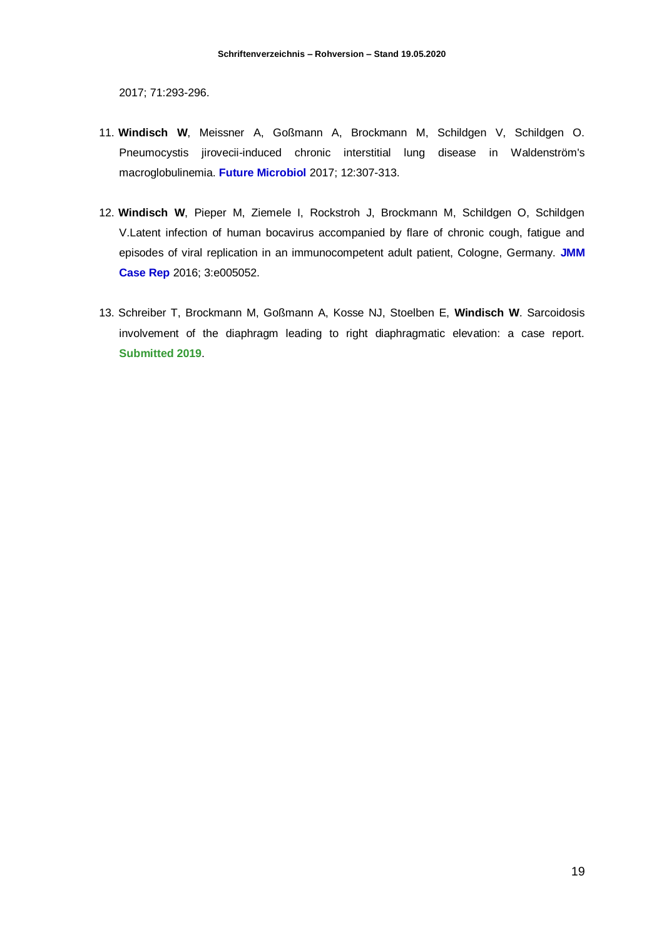2017; 71:293-296.

- 11. **Windisch W**, Meissner A, Goßmann A, Brockmann M, Schildgen V, Schildgen O. Pneumocystis jirovecii-induced chronic interstitial lung disease in Waldenström's macroglobulinemia. **Future Microbiol** 2017; 12:307-313.
- 12. **Windisch W**, Pieper M, Ziemele I, Rockstroh J, Brockmann M, Schildgen O, Schildgen V.Latent infection of human bocavirus accompanied by flare of chronic cough, fatigue and episodes of viral replication in an immunocompetent adult patient, Cologne, Germany. **JMM Case Rep** 2016; 3:e005052.
- 13. Schreiber T, Brockmann M, Goßmann A, Kosse NJ, Stoelben E, **Windisch W**. Sarcoidosis involvement of the diaphragm leading to right diaphragmatic elevation: a case report. **Submitted 2019**.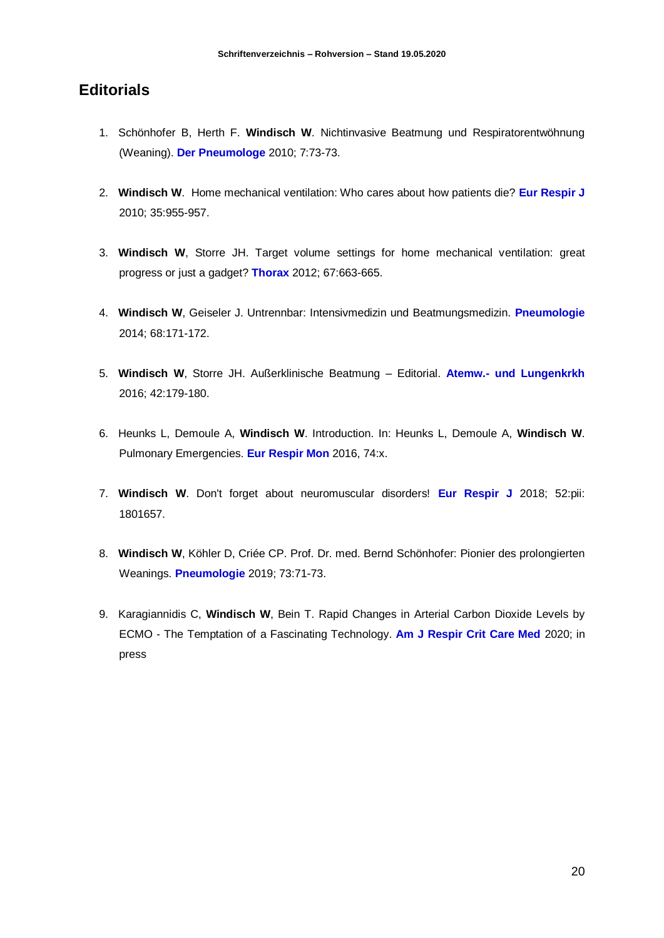# **Editorials**

- 1. Schönhofer B, Herth F. **Windisch W**. Nichtinvasive Beatmung und Respiratorentwöhnung (Weaning). **Der Pneumologe** 2010; 7:73-73.
- 2. **Windisch W**. Home mechanical ventilation: Who cares about how patients die? **Eur Respir J** 2010; 35:955-957.
- 3. **Windisch W**, Storre JH. Target volume settings for home mechanical ventilation: great progress or just a gadget? **Thorax** 2012; 67:663-665.
- 4. **Windisch W**, Geiseler J. Untrennbar: Intensivmedizin und Beatmungsmedizin. **Pneumologie** 2014; 68:171-172.
- 5. **Windisch W**, Storre JH. Außerklinische Beatmung Editorial. **Atemw.- und Lungenkrkh** 2016; 42:179-180.
- 6. Heunks L, Demoule A, **Windisch W**. Introduction. In: Heunks L, Demoule A, **Windisch W**. Pulmonary Emergencies. **Eur Respir Mon** 2016, 74:x.
- 7. **Windisch W**. Don't forget about neuromuscular disorders! **Eur Respir J** 2018; 52:pii: 1801657.
- 8. **Windisch W**, Köhler D, Criée CP. Prof. Dr. med. Bernd Schönhofer: Pionier des prolongierten Weanings. **Pneumologie** 2019; 73:71-73.
- 9. Karagiannidis C, **Windisch W**, Bein T. Rapid Changes in Arterial Carbon Dioxide Levels by ECMO - The Temptation of a Fascinating Technology. **Am J Respir Crit Care Med** 2020; in press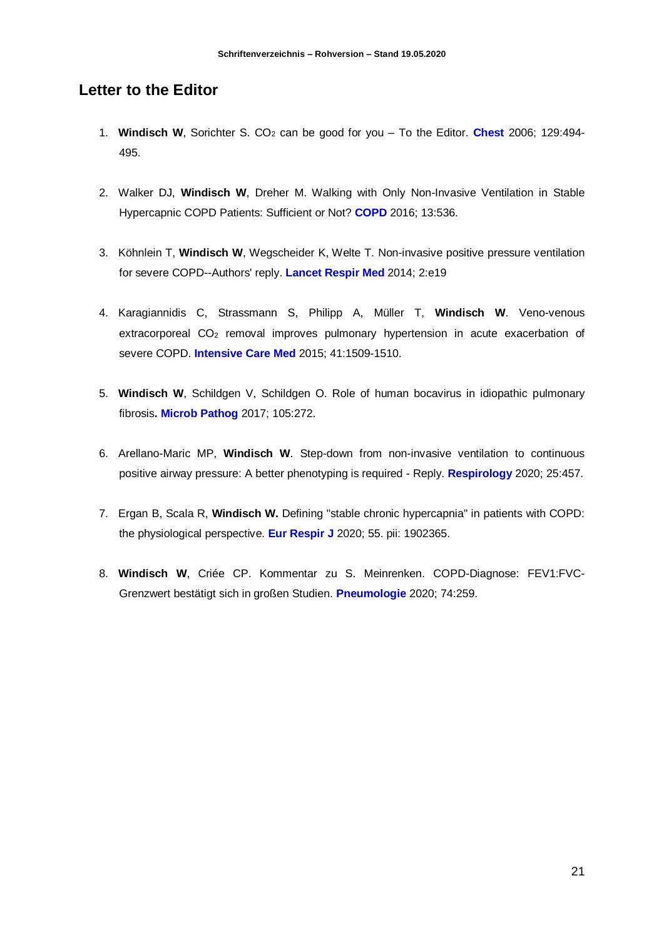## **Letter to the Editor**

- 1. **Windisch W**, Sorichter S. CO<sup>2</sup> can be good for you To the Editor. **Chest** 2006; 129:494- 495.
- 2. Walker DJ, **Windisch W**, Dreher M. Walking with Only Non-Invasive Ventilation in Stable Hypercapnic COPD Patients: Sufficient or Not? **COPD** 2016; 13:536.
- 3. Köhnlein T, **Windisch W**, Wegscheider K, Welte T. Non-invasive positive pressure ventilation for severe COPD--Authors' reply. **Lancet Respir Med** 2014; 2:e19
- 4. Karagiannidis C, Strassmann S, Philipp A, Müller T, **Windisch W**. Veno-venous extracorporeal CO<sup>2</sup> removal improves pulmonary hypertension in acute exacerbation of severe COPD. **Intensive Care Med** 2015; 41:1509-1510.
- 5. **Windisch W**, Schildgen V, Schildgen O. Role of human bocavirus in idiopathic pulmonary fibrosis**. Microb Pathog** 2017; 105:272.
- 6. Arellano-Maric MP, **Windisch W**. Step-down from non-invasive ventilation to continuous positive airway pressure: A better phenotyping is required - Reply. **Respirology** 2020; 25:457.
- 7. Ergan B, Scala R, **Windisch W.** Defining "stable chronic hypercapnia" in patients with COPD: the physiological perspective. **Eur Respir J** 2020; 55. pii: 1902365.
- 8. **Windisch W**, Criée CP. Kommentar zu S. Meinrenken. COPD-Diagnose: FEV1:FVC-Grenzwert bestätigt sich in großen Studien. **Pneumologie** 2020; 74:259.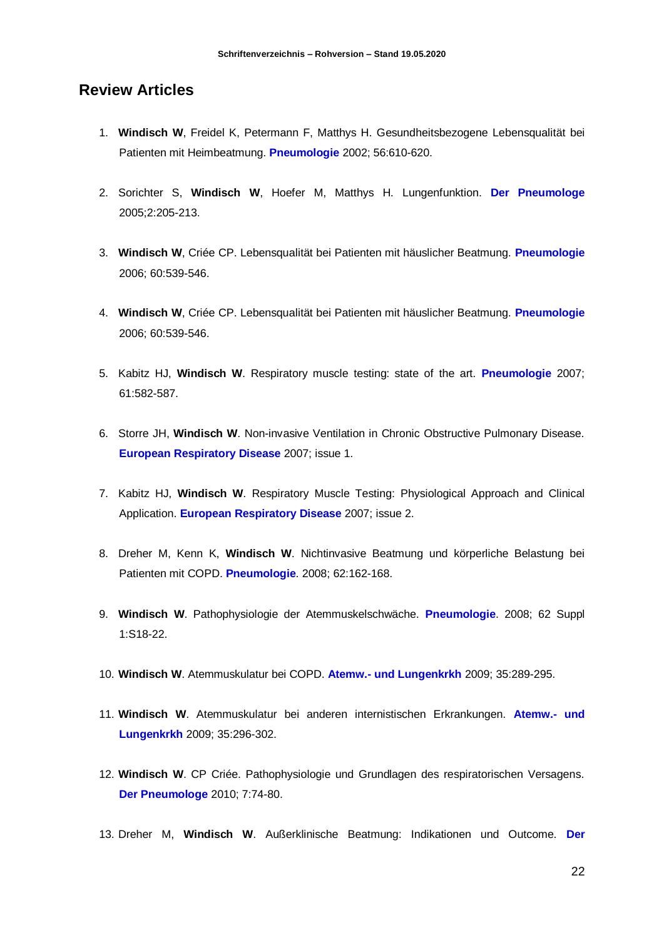#### **Review Articles**

- 1. **Windisch W**, Freidel K, Petermann F, Matthys H. Gesundheitsbezogene Lebensqualität bei Patienten mit Heimbeatmung. **Pneumologie** 2002; 56:610-620.
- 2. Sorichter S, **Windisch W**, Hoefer M, Matthys H. Lungenfunktion. **Der Pneumologe** 2005;2:205-213.
- 3. **Windisch W**, Criée CP. Lebensqualität bei Patienten mit häuslicher Beatmung. **Pneumologie** 2006; 60:539-546.
- 4. **Windisch W**, Criée CP. Lebensqualität bei Patienten mit häuslicher Beatmung. **Pneumologie** 2006; 60:539-546.
- 5. Kabitz HJ, **Windisch W**. Respiratory muscle testing: state of the art. **Pneumologie** 2007; 61:582-587.
- 6. Storre JH, **Windisch W**. Non-invasive Ventilation in Chronic Obstructive Pulmonary Disease. **European Respiratory Disease** 2007; issue 1.
- 7. Kabitz HJ, **Windisch W**. Respiratory Muscle Testing: Physiological Approach and Clinical Application. **European Respiratory Disease** 2007; issue 2.
- 8. Dreher M, Kenn K, **Windisch W**. Nichtinvasive Beatmung und körperliche Belastung bei Patienten mit COPD. **Pneumologie**. 2008; 62:162-168.
- 9. **Windisch W**. Pathophysiologie der Atemmuskelschwäche. **Pneumologie**. 2008; 62 Suppl 1:S18-22.
- 10. **Windisch W**. Atemmuskulatur bei COPD. **Atemw.- und Lungenkrkh** 2009; 35:289-295.
- 11. **Windisch W**. Atemmuskulatur bei anderen internistischen Erkrankungen. **Atemw.- und Lungenkrkh** 2009; 35:296-302.
- 12. **Windisch W**. CP Criée. Pathophysiologie und Grundlagen des respiratorischen Versagens. **Der Pneumologe** 2010; 7:74-80.
- 13. Dreher M, **Windisch W**. Außerklinische Beatmung: Indikationen und Outcome. **Der**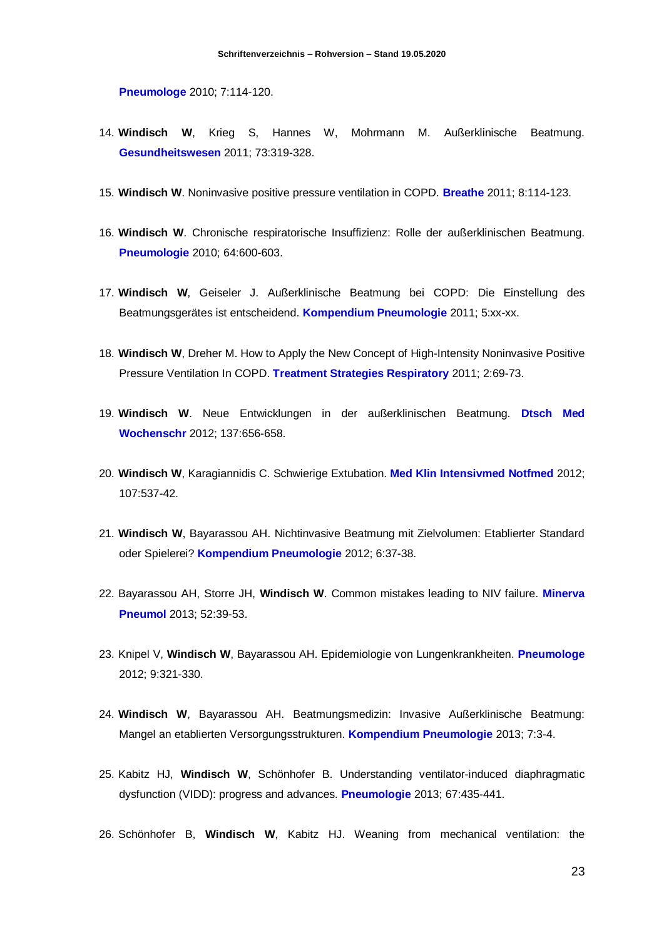**Pneumologe** 2010; 7:114-120.

- 14. **Windisch W**, Krieg S, Hannes W, Mohrmann M. Außerklinische Beatmung. **Gesundheitswesen** 2011; 73:319-328.
- 15. **Windisch W**. Noninvasive positive pressure ventilation in COPD. **Breathe** 2011; 8:114-123.
- 16. **Windisch W**. Chronische respiratorische Insuffizienz: Rolle der außerklinischen Beatmung. **Pneumologie** 2010; 64:600-603.
- 17. **Windisch W**, Geiseler J. Außerklinische Beatmung bei COPD: Die Einstellung des Beatmungsgerätes ist entscheidend. **Kompendium Pneumologie** 2011; 5:xx-xx.
- 18. **Windisch W**, Dreher M. How to Apply the New Concept of High-Intensity Noninvasive Positive Pressure Ventilation In COPD. **Treatment Strategies Respiratory** 2011; 2:69-73.
- 19. **Windisch W**. Neue Entwicklungen in der außerklinischen Beatmung. **Dtsch Med Wochenschr** 2012; 137:656-658.
- 20. **Windisch W**, Karagiannidis C. Schwierige Extubation. **Med Klin Intensivmed Notfmed** 2012; 107:537-42.
- 21. **Windisch W**, Bayarassou AH. Nichtinvasive Beatmung mit Zielvolumen: Etablierter Standard oder Spielerei? **Kompendium Pneumologie** 2012; 6:37-38.
- 22. Bayarassou AH, Storre JH, **Windisch W**. Common mistakes leading to NIV failure. **Minerva Pneumol** 2013; 52:39-53.
- 23. Knipel V, **Windisch W**, Bayarassou AH. Epidemiologie von Lungenkrankheiten. **Pneumologe**  2012; 9:321-330.
- 24. **Windisch W**, Bayarassou AH. Beatmungsmedizin: Invasive Außerklinische Beatmung: Mangel an etablierten Versorgungsstrukturen. **Kompendium Pneumologie** 2013; 7:3-4.
- 25. Kabitz HJ, **Windisch W**, Schönhofer B. Understanding ventilator-induced diaphragmatic dysfunction (VIDD): progress and advances. **Pneumologie** 2013; 67:435-441.
- 26. Schönhofer B, **Windisch W**, Kabitz HJ. Weaning from mechanical ventilation: the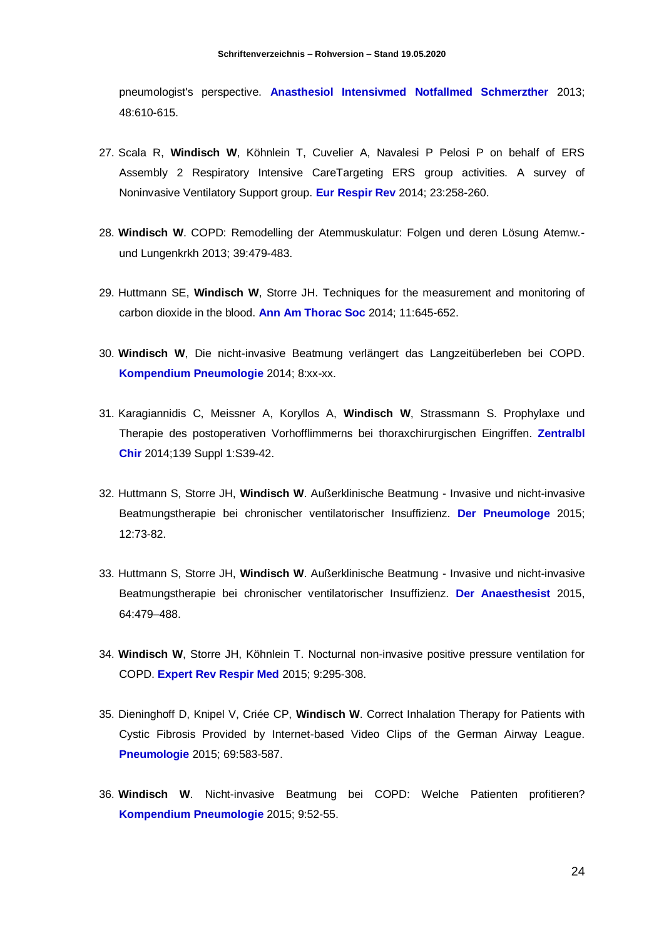pneumologist's perspective. **Anasthesiol Intensivmed Notfallmed Schmerzther** 2013; 48:610-615.

- 27. Scala R, **Windisch W**, Köhnlein T, Cuvelier A, Navalesi P Pelosi P on behalf of ERS Assembly 2 Respiratory Intensive CareTargeting ERS group activities. A survey of Noninvasive Ventilatory Support group. **Eur Respir Rev** 2014; 23:258-260.
- 28. **Windisch W**. COPD: Remodelling der Atemmuskulatur: Folgen und deren Lösung Atemw. und Lungenkrkh 2013; 39:479-483.
- 29. Huttmann SE, **Windisch W**, Storre JH. Techniques for the measurement and monitoring of carbon dioxide in the blood. **Ann Am Thorac Soc** 2014; 11:645-652.
- 30. **Windisch W**, Die nicht-invasive Beatmung verlängert das Langzeitüberleben bei COPD. **Kompendium Pneumologie** 2014; 8:xx-xx.
- 31. Karagiannidis C, Meissner A, Koryllos A, **Windisch W**, Strassmann S. Prophylaxe und Therapie des postoperativen Vorhofflimmerns bei thoraxchirurgischen Eingriffen. **Zentralbl Chir** 2014;139 Suppl 1:S39-42.
- 32. Huttmann S, Storre JH, **Windisch W**. Außerklinische Beatmung Invasive und nicht-invasive Beatmungstherapie bei chronischer ventilatorischer Insuffizienz. **Der Pneumologe** 2015; 12:73-82.
- 33. Huttmann S, Storre JH, **Windisch W**. Außerklinische Beatmung Invasive und nicht-invasive Beatmungstherapie bei chronischer ventilatorischer Insuffizienz. **Der Anaesthesist** 2015, 64:479–488.
- 34. **Windisch W**, Storre JH, Köhnlein T. Nocturnal non-invasive positive pressure ventilation for COPD. **Expert Rev Respir Med** 2015; 9:295-308.
- 35. Dieninghoff D, Knipel V, Criée CP, **Windisch W**. Correct Inhalation Therapy for Patients with Cystic Fibrosis Provided by Internet-based Video Clips of the German Airway League. **Pneumologie** 2015; 69:583-587.
- 36. **Windisch W**. Nicht-invasive Beatmung bei COPD: Welche Patienten profitieren? **Kompendium Pneumologie** 2015; 9:52-55.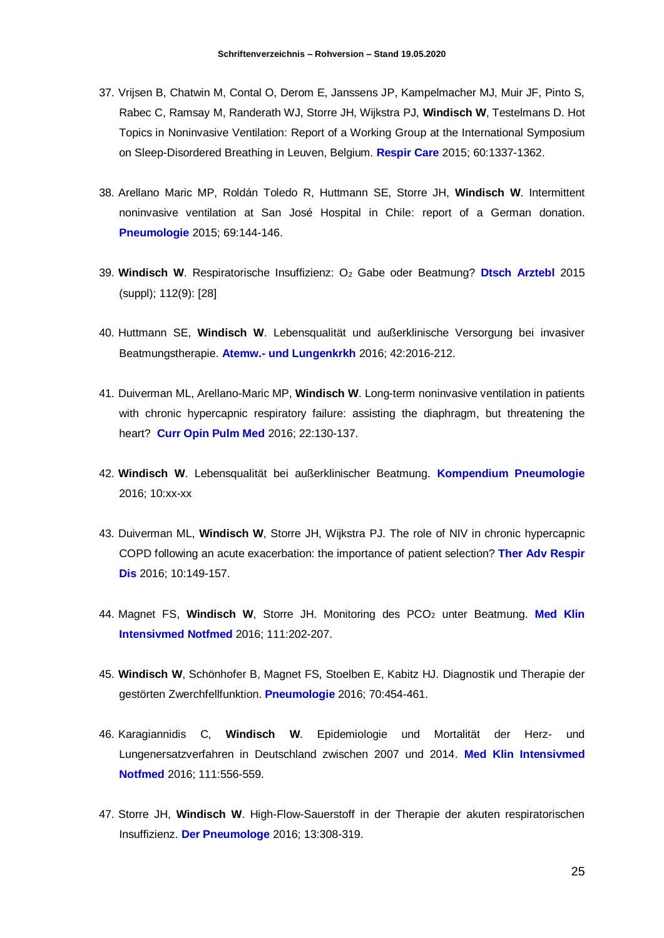- 37. Vrijsen B, Chatwin M, Contal O, Derom E, Janssens JP, Kampelmacher MJ, Muir JF, Pinto S, Rabec C, Ramsay M, Randerath WJ, Storre JH, Wijkstra PJ, **Windisch W**, Testelmans D. Hot Topics in Noninvasive Ventilation: Report of a Working Group at the International Symposium on Sleep-Disordered Breathing in Leuven, Belgium. **Respir Care** 2015; 60:1337-1362.
- 38. Arellano Maric MP, Roldán Toledo R, Huttmann SE, Storre JH, **Windisch W**. Intermittent noninvasive ventilation at San José Hospital in Chile: report of a German donation. **Pneumologie** 2015; 69:144-146.
- 39. **Windisch W**. Respiratorische Insuffizienz: O<sup>2</sup> Gabe oder Beatmung? **Dtsch Arztebl** 2015 (suppl); 112(9): [28]
- 40. Huttmann SE, **Windisch W**. Lebensqualität und außerklinische Versorgung bei invasiver Beatmungstherapie. **Atemw.- und Lungenkrkh** 2016; 42:2016-212.
- 41. Duiverman ML, Arellano-Maric MP, **Windisch W**. Long-term noninvasive ventilation in patients with chronic hypercapnic respiratory failure: assisting the diaphragm, but threatening the heart? **Curr Opin Pulm Med** 2016; 22:130-137.
- 42. **Windisch W**. Lebensqualität bei außerklinischer Beatmung. **Kompendium Pneumologie** 2016; 10:xx-xx
- 43. Duiverman ML, **Windisch W**, Storre JH, Wijkstra PJ. The role of NIV in chronic hypercapnic COPD following an acute exacerbation: the importance of patient selection? **Ther Adv Respir Dis** 2016; 10:149-157.
- 44. Magnet FS, Windisch W, Storre JH. Monitoring des PCO<sub>2</sub> unter Beatmung. Med Klin **Intensivmed Notfmed** 2016; 111:202-207.
- 45. **Windisch W**, Schönhofer B, Magnet FS, Stoelben E, Kabitz HJ. Diagnostik und Therapie der gestörten Zwerchfellfunktion. **Pneumologie** 2016; 70:454-461.
- 46. Karagiannidis C, **Windisch W**. Epidemiologie und Mortalität der Herz- und Lungenersatzverfahren in Deutschland zwischen 2007 und 2014. **Med Klin Intensivmed Notfmed** 2016; 111:556-559.
- 47. Storre JH, **Windisch W**. High-Flow-Sauerstoff in der Therapie der akuten respiratorischen Insuffizienz. **Der Pneumologe** 2016; 13:308-319.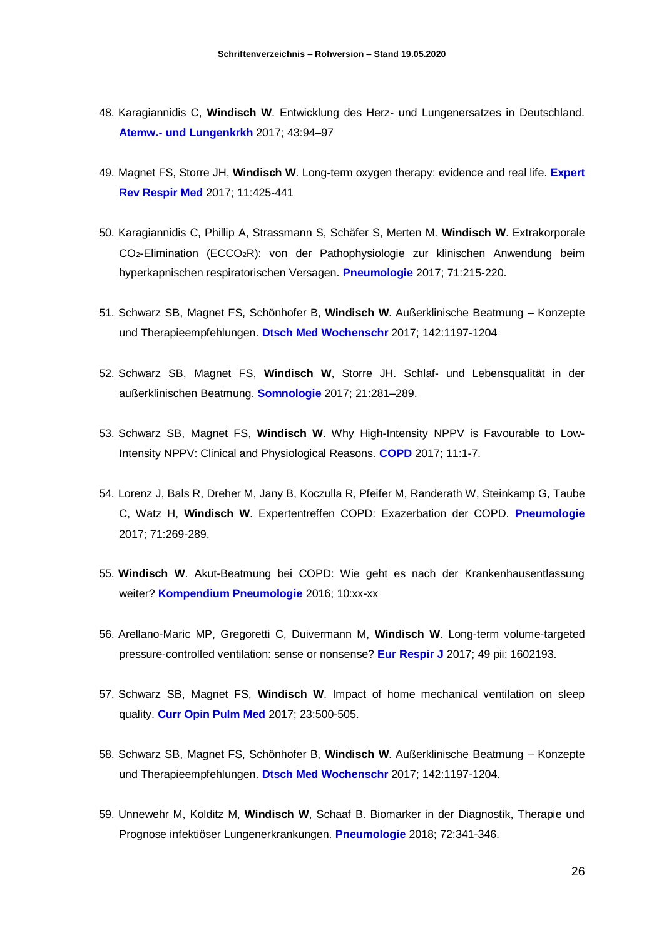- 48. Karagiannidis C, **Windisch W**. Entwicklung des Herz- und Lungenersatzes in Deutschland. **Atemw.- und Lungenkrkh** 2017; 43:94–97
- 49. Magnet FS, Storre JH, **Windisch W**. Long-term oxygen therapy: evidence and real life. **Expert Rev Respir Med** 2017; 11:425-441
- 50. Karagiannidis C, Phillip A, Strassmann S, Schäfer S, Merten M. **Windisch W**. Extrakorporale CO2-Elimination (ECCO2R): von der Pathophysiologie zur klinischen Anwendung beim hyperkapnischen respiratorischen Versagen. **Pneumologie** 2017; 71:215-220.
- 51. Schwarz SB, Magnet FS, Schönhofer B, **Windisch W**. Außerklinische Beatmung Konzepte und Therapieempfehlungen. **Dtsch Med Wochenschr** 2017; 142:1197-1204
- 52. Schwarz SB, Magnet FS, **Windisch W**, Storre JH. Schlaf- und Lebensqualität in der außerklinischen Beatmung. **Somnologie** 2017; 21:281–289.
- 53. Schwarz SB, Magnet FS, **Windisch W**. Why High-Intensity NPPV is Favourable to Low-Intensity NPPV: Clinical and Physiological Reasons. **COPD** 2017; 11:1-7.
- 54. Lorenz J, Bals R, Dreher M, Jany B, Koczulla R, Pfeifer M, Randerath W, Steinkamp G, Taube C, Watz H, **Windisch W**. Expertentreffen COPD: Exazerbation der COPD. **Pneumologie** 2017; 71:269-289.
- 55. **Windisch W**. Akut-Beatmung bei COPD: Wie geht es nach der Krankenhausentlassung weiter? **Kompendium Pneumologie** 2016; 10:xx-xx
- 56. Arellano-Maric MP, Gregoretti C, Duivermann M, **Windisch W**. Long-term volume-targeted pressure-controlled ventilation: sense or nonsense? **Eur Respir J** 2017; 49 pii: 1602193.
- 57. Schwarz SB, Magnet FS, **Windisch W**. Impact of home mechanical ventilation on sleep quality. **Curr Opin Pulm Med** 2017; 23:500-505.
- 58. Schwarz SB, Magnet FS, Schönhofer B, **Windisch W**. Außerklinische Beatmung Konzepte und Therapieempfehlungen. **Dtsch Med Wochenschr** 2017; 142:1197-1204.
- 59. Unnewehr M, Kolditz M, **Windisch W**, Schaaf B. Biomarker in der Diagnostik, Therapie und Prognose infektiöser Lungenerkrankungen. **Pneumologie** 2018; 72:341-346.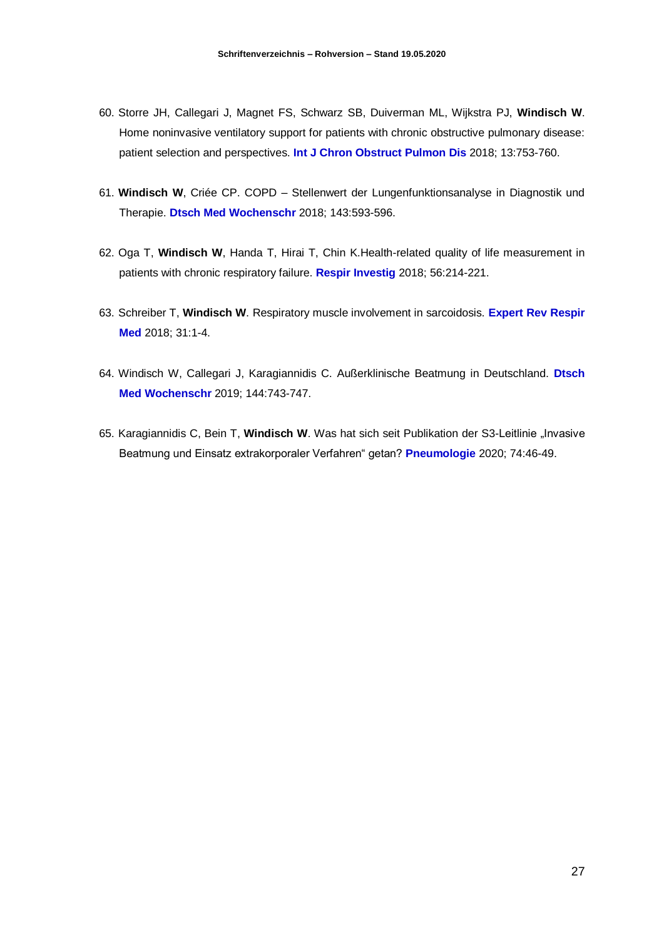- 60. Storre JH, Callegari J, Magnet FS, Schwarz SB, Duiverman ML, Wijkstra PJ, **Windisch W**. Home noninvasive ventilatory support for patients with chronic obstructive pulmonary disease: patient selection and perspectives. **Int J Chron Obstruct Pulmon Dis** 2018; 13:753-760.
- 61. **Windisch W**, Criée CP. COPD Stellenwert der Lungenfunktionsanalyse in Diagnostik und Therapie. **Dtsch Med Wochenschr** 2018; 143:593-596.
- 62. Oga T, **Windisch W**, Handa T, Hirai T, Chin K.Health-related quality of life measurement in patients with chronic respiratory failure. **Respir Investig** 2018; 56:214-221.
- 63. Schreiber T, **Windisch W**. Respiratory muscle involvement in sarcoidosis. **Expert Rev Respir Med** 2018; 31:1-4.
- 64. Windisch W, Callegari J, Karagiannidis C. Außerklinische Beatmung in Deutschland. **Dtsch Med Wochenschr** 2019; 144:743-747.
- 65. Karagiannidis C, Bein T, Windisch W. Was hat sich seit Publikation der S3-Leitlinie "Invasive Beatmung und Einsatz extrakorporaler Verfahren" getan? **Pneumologie** 2020; 74:46-49.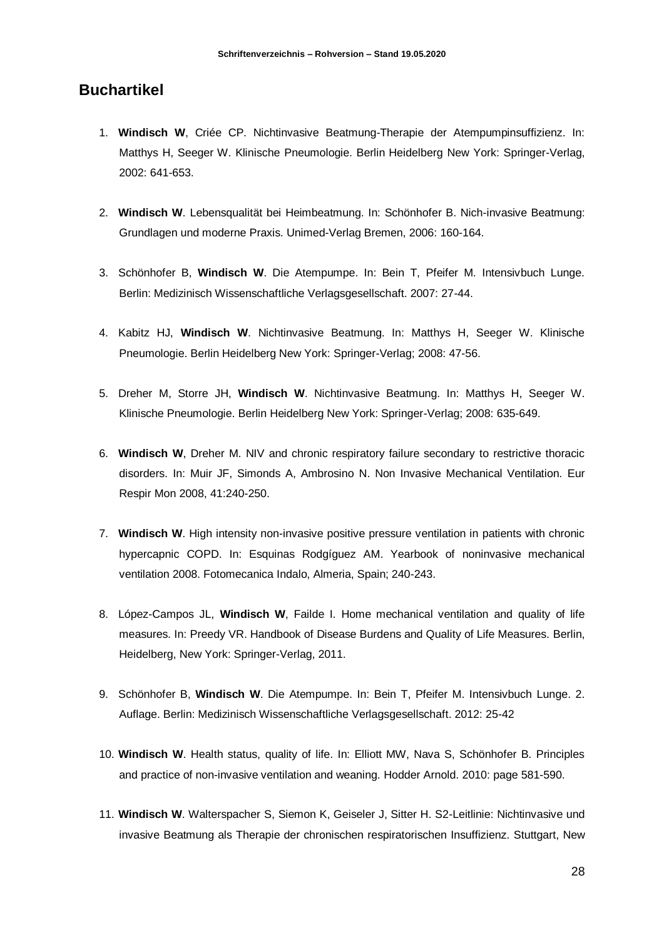#### **Buchartikel**

- 1. **Windisch W**, Criée CP. Nichtinvasive Beatmung-Therapie der Atempumpinsuffizienz. In: Matthys H, Seeger W. Klinische Pneumologie. Berlin Heidelberg New York: Springer-Verlag, 2002: 641-653.
- 2. **Windisch W**. Lebensqualität bei Heimbeatmung. In: Schönhofer B. Nich-invasive Beatmung: Grundlagen und moderne Praxis. Unimed-Verlag Bremen, 2006: 160-164.
- 3. Schönhofer B, **Windisch W**. Die Atempumpe. In: Bein T, Pfeifer M. Intensivbuch Lunge. Berlin: Medizinisch Wissenschaftliche Verlagsgesellschaft. 2007: 27-44.
- 4. Kabitz HJ, **Windisch W**. Nichtinvasive Beatmung. In: Matthys H, Seeger W. Klinische Pneumologie. Berlin Heidelberg New York: Springer-Verlag; 2008: 47-56.
- 5. Dreher M, Storre JH, **Windisch W**. Nichtinvasive Beatmung. In: Matthys H, Seeger W. Klinische Pneumologie. Berlin Heidelberg New York: Springer-Verlag; 2008: 635-649.
- 6. **Windisch W**, Dreher M. NIV and chronic respiratory failure secondary to restrictive thoracic disorders. In: Muir JF, Simonds A, Ambrosino N. Non Invasive Mechanical Ventilation. Eur Respir Mon 2008, 41:240-250.
- 7. **Windisch W**. High intensity non-invasive positive pressure ventilation in patients with chronic hypercapnic COPD. In: Esquinas Rodgíguez AM. Yearbook of noninvasive mechanical ventilation 2008. Fotomecanica Indalo, Almeria, Spain; 240-243.
- 8. López-Campos JL, **Windisch W**, Failde I. Home mechanical ventilation and quality of life measures. In: Preedy VR. Handbook of Disease Burdens and Quality of Life Measures. Berlin, Heidelberg, New York: Springer-Verlag, 2011.
- 9. Schönhofer B, **Windisch W**. Die Atempumpe. In: Bein T, Pfeifer M. Intensivbuch Lunge. 2. Auflage. Berlin: Medizinisch Wissenschaftliche Verlagsgesellschaft. 2012: 25-42
- 10. **Windisch W**. Health status, quality of life. In: Elliott MW, Nava S, Schönhofer B. Principles and practice of non-invasive ventilation and weaning. Hodder Arnold. 2010: page 581-590.
- 11. **Windisch W**. Walterspacher S, Siemon K, Geiseler J, Sitter H. S2-Leitlinie: Nichtinvasive und invasive Beatmung als Therapie der chronischen respiratorischen Insuffizienz. Stuttgart, New